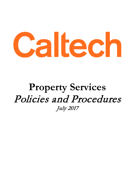

# **Property Services** Policies and Procedures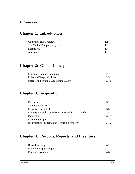# **Chapter 1: Introduction**

| Objectives and Overview     | 1.1 |
|-----------------------------|-----|
| The Capital Equipment Cycle | 1.3 |
| Definitions                 | 1.4 |
| Acronyms                    | 1.8 |
|                             |     |

### **Chapter 2: Global Concepts**

| <b>Managing Capital Equipment</b>       | 2.1  |
|-----------------------------------------|------|
| Roles and Responsibilities              | 2.5  |
| Internal and External Accounting Audits | 2.12 |

### **Chapter 3: Acquisition**

| Purchasing                                            | 3.1  |
|-------------------------------------------------------|------|
| <b>Subcontractor Control</b>                          | 3.3  |
| Donations to Caltech                                  | 3.5  |
| Property Loaned, Transferred, or Furnished to Caltech | 3.8  |
| Fabrications                                          | 3.12 |
| <b>Receiving Property</b>                             | 3.16 |
| Identification: Tagging and Recording Property        | 3.19 |

# **Chapter 4: Records, Reports, and Inventory**

| Record Keeping                   |     |
|----------------------------------|-----|
| <b>Required Property Reports</b> | 4.3 |
| Physical Inventory               | 4.6 |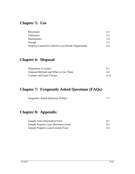# **Chapter 5: Use**

| Movement                                              | 5.1 |
|-------------------------------------------------------|-----|
| Utilization                                           | 5.3 |
| Maintenance                                           | 5.4 |
| Storage                                               | 5.5 |
| Property Loaned by Caltech to an Outside Organization | 5.6 |

# **Chapter 6: Disposal**

| Disposition of Assets                 | 61   |
|---------------------------------------|------|
| Disposal Methods and When to Use Them | 6.6  |
| <b>Contract and Grant Closure</b>     | 6.13 |

# **Chapter 7: Frequently Asked Questions (FAQs)**

| Frequently Asked Questions (FAQs) |  |
|-----------------------------------|--|
|-----------------------------------|--|

# **Chapter 8: Appendix**

| <b>Sample Asset Information Form</b> | 8.1 |
|--------------------------------------|-----|
| Sample Property Loan (Borrower) Form | 8.2 |
| Sample Property Loan (Lender) Form   | 8.3 |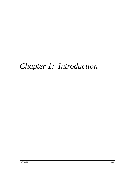# *Chapter 1: Introduction*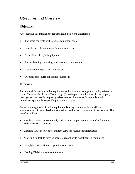#### **Objectives**

After reading this manual, the reader should be able to understand:

- The basic concepts of the capital equipment cycle
- Global concepts in managing capital equipment
- Acquisition of capital equipment
- Record keeping, reporting, and inventory requirements
- Use of capital equipment on campus
- Disposal procedures for capital equipment

#### **Overview**

This manual focuses on capital equipment and is intended as a general policy reference for all California Institute of Technology (Caltech) personnel involved in the property management process. It frequently refers to other documents for more detailed procedures applicable to specific personnel or topics.

Property management of capital equipment is a key component in the efficient administration of the professional educational and research missions of the Institute. The benefits include:

- Enabling Caltech to issue timely and accurate property reports to Federal and non-Federal research sponsors
- Enabling Caltech to recover indirect costs for equipment depreciation
- Allowing Caltech to have an accurate record of its investment in equipment
- Complying with external regulations and laws
- Meeting Division management needs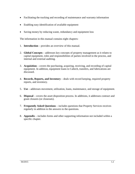- Facilitating the tracking and recording of maintenance and warranty information
- Enabling easy identification of available equipment
- Saving money by reducing waste, redundancy and equipment loss

The information in this manual contains eight chapters:

- 1. **Introduction** provides an overview of this manual.
- 2. **Global Concepts** addresses key concepts of property management as it relates to capital equipment, roles and responsibilities of parties involved in the process, and internal and external auditing.
- 3. **Acquisition** covers the purchasing, acquiring, receiving, and recording of capital equipment. In addition, equipment loans to Caltech, transfers, and fabrications are discussed.
- 4. **Records, Reports, and Inventory** deals with record keeping, required property reports, and inventory.
- 5. **Use** addresses movement, utilization, loans, maintenance, and storage of equipment.
- 6. **Disposal** covers the asset disposition process. In additions, it addresses contract and grant closures (or closeouts).
- 7. **Frequently Asked Questions** includes questions that Property Services receives regularly in addition to the answers to the questions.
- 8. **Appendix** includes forms and other supporting information not included within a specific chapter.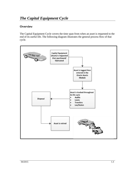#### **Overview**

The Capital Equipment Cycle covers the time span from when an asset is requested to the end of its useful life. The following diagram illustrates the general process flow of that cycle.

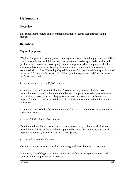# *Definitions*

#### **Overview**

This subchapter provides some common definitions of terms used throughout this manual.

#### **Definitions**

#### **Capital Equipment**

"Capital Equipment" is actually an accounting term. For explanation purposes, we define it as a moveable item which has a cost that meets or exceeds a specified cost threshold (such as a microscope or photocopier). Capital equipment, when compared with other equipment, has more record keeping requirements and compliance requirements associated with it. See "Managing Capital Equipment" in the Global Concepts chapter of this manual for more information. At Caltech, capital equipment is defined as meeting the following criteria:

1. An acquisition cost of \$5,000 or more

Acquisition cost includes the following: Invoice amount, sales tax, freight costs, installation costs, costs for the initial complement of supplies needed to place the asset into service, accessory and auxiliary apparatus necessary to make it usable for the purpose for which it was acquired; less trade or trade in discounts and/or educational allowances.

Acquisition cost excludes the following: Federal Excise tax, duty, insurance, maintenance and warranty costs

2. A useful life of more than one year.

If the item will not have a useful life of more than one year, or the upgrade does not extend the useful life of the asset being upgraded by more than one year, it is considered expendable material, even if it costs more than \$5,000.

3. A stand-alone movable item

The item is not permanently attached to or integrated into a building or structure.

In addition, Caltech legally assumes certain responsibilities for sponsor-owned and sponsor funded property under its control.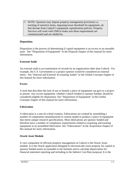NOTE: Sponsors may impose property management provisions i.e. tracking of sensitive items, imposing lower threshold for equipment, etc. that deviate from Caltech's equipment capitalization policies. Property Services will work with OSR to make sure these requirements are communicated and are abided by.

#### **Disposition**

Disposition is the process of determining if capital equipment is an excess or an unusable asset. See "Disposition of Equipment" in the Disposal chapter of this manual for more information.

#### **External Audit**

An external audit is an examination of records by an organization other than Caltech. For example, the U.S. Government or a project sponsor would be considered an external entity. See "Internal and External Accounting Audits" in the Global Concepts chapter of this manual for more information.

#### **Excess**

A term that describes the lack of use or benefit a piece of equipment can give to a project or person. Any excess equipment, whether Caltech funded or sponsor funded, should be considered eligible for disposition. See "Disposition of Equipment" in the Global Concepts chapter of this manual for more information.

#### **Fabrication**

A fabrication is a one-of-a-kind creation. Fabrications are created by assembling a number of components (manufactured or custom made) to produce a piece of equipment that meets unique research specifications. Most fabrications are sponsor funded and therefore have a number of compliance requirements related to acquiring and tracking equipment in an assembled fabrication. See "Fabrications" in the Acquisition chapter of this manual for more information.

#### **Oracle Asset Module**

A core component of efficient property management at Caltech is the Oracle Asset module. It is the Oracle application designed to electronically track property for capital or sponsor funded assets accountable to the Institute and to calculate depreciation for financial statement reporting and including in the Indirect Cost Rate proposal. It is the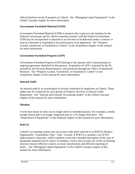official Institute record of property at Caltech. See "Managing Capital Equipment" in the Global Concepts chapter for more information.

#### **Government Furnished Material (GFM)**

Government Furnished Material (GFM) is property that is given to the Institute by the Federal Government and for which ownership remains with the Federal Government. GFM may be incorporated or attached to an end item to be delivered under a contract or may be consumed or expended in the performance of an agreement. See "Property Loaned, transferred, or Furnished to Caltech" in the Acquisition chapter of this manual for more information.

#### **Government Furnished Property (GFP)**

Government Furnished Property (GFP) belongs to the sponsor and is used pursuant to ongoing agreement identified by the sponsor. Acquisition of GFP is initiated by the PI, assisted by the Division Representative, and processed through the Office of Sponsored Research. See "Property Loaned, Transferred, or Furnished to Caltech" in the Acquisition chapter of this manual for more information.

#### **Internal Audit**

An internal audit is an examination of records conducted by employees at Caltech. These audits may be conducted by such groups as Property Services or Internal Audit Department. See "Internal and External Accounting Audits" in the Global Concepts chapter of this manual for more information.

#### **Obsolete**

A term that means an item can no longer meet its intended purpose. For example, a media storage format that is no longer employed such as a 5¼ floppy disk drive. See "Disposition of Equipment" in the Disposal chapter of this manual for more information.

#### **POETA**

Caltech's accounting system uses an account code often referred to as POETA (Project / Organization / Expenditure Type / Task / Award). A POETA is actually a set of five alpha-numeric characters, which combine to provide a detailed description of the type of equipment acquired and its source of funding. Correct and accurate use of this accounting structure ensures effective control, accurate classification and efficient reporting of assets. See "Managing Capital Equipment" in the Global Concepts chapter of this manual for more information.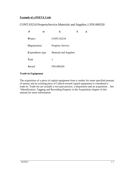#### **Example of a POETA Code**

#### CONT.03210.PropertyService.Materials and Supplies.1.FIN.000320

|                         |  | E                            | т |  |
|-------------------------|--|------------------------------|---|--|
| Project                 |  | CONT.03210                   |   |  |
| Organization            |  | <b>Property Service</b>      |   |  |
| <b>Expenditure type</b> |  | <b>Material and Supplies</b> |   |  |
| <b>Task</b>             |  | 1                            |   |  |
| <b>A</b> ward           |  | FIN.000320                   |   |  |

#### **Trade-in Equipment**

The acquisition of a piece of capital equipment from a vendor for some specified amount of money and an existing piece of Caltech-owned capital equipment is considered a trade-in. Trade-ins are actually a two-part process: a disposition and an acquisition . See "Identification: Tagging and Recording Property in the Acquisition chapter of this manual for more information.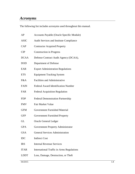### *Acronyms*

The following list includes acronyms used throughout this manual.

| AP          | Accounts Payable (Oracle Specific Module)        |  |
|-------------|--------------------------------------------------|--|
| <b>ASIC</b> | Audit Services and Institute Compliance          |  |
| CAP         | <b>Contractor Acquired Property</b>              |  |
| CIP         | <b>Construction in Progress</b>                  |  |
| <b>DCAA</b> | Defense Contract Audit Agency (DCAA),            |  |
| <b>DOD</b>  | Department of Defense                            |  |
| <b>EAR</b>  | <b>Export Administration Regulations</b>         |  |
| <b>ETS</b>  | <b>Equipment Tracking System</b>                 |  |
| F&A         | <b>Facilities and Administrative</b>             |  |
| <b>FAIN</b> | <b>Federal Award Identification Number</b>       |  |
| <b>FAR</b>  | <b>Federal Acquisition Regulation</b>            |  |
| <b>FDP</b>  | <b>Federal Demonstration Partnership</b>         |  |
| <b>FMV</b>  | <b>Fair Market Value</b>                         |  |
| <b>GFM</b>  | <b>Government Furnished Material</b>             |  |
| <b>GFP</b>  | Government Furnished Property                    |  |
| GL          | <b>Oracle General Ledger</b>                     |  |
| <b>GPA</b>  | Government Property Administrator                |  |
| <b>GSA</b>  | <b>General Services Administration</b>           |  |
| IDC         | <b>Indirect Cost</b>                             |  |
| <b>IRS</b>  | <b>Internal Revenue Services</b>                 |  |
| <b>ITAR</b> | <b>International Traffic in Arms Regulations</b> |  |
| <b>LDDT</b> | Loss, Damage, Destruction, or Theft              |  |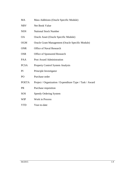| MA           | Mass Additions (Oracle Specific Module)                  |
|--------------|----------------------------------------------------------|
| NBV          | Net Book Value                                           |
| NSN          | <b>National Stock Number</b>                             |
| <b>OA</b>    | Oracle Asset (Oracle Specific Module)                    |
| <b>OGM</b>   | Oracle Grant Management (Oracle Specific Module)         |
| <b>ONR</b>   | <b>Office of Naval Research</b>                          |
| <b>OSR</b>   | Office of Sponsored Research                             |
| PAA          | Post Award Administration                                |
| <b>PCSA</b>  | <b>Property Control System Analysis</b>                  |
| PI           | Principle Investigator                                   |
| PO           | Purchase order                                           |
| <b>POETA</b> | Project / Organization / Expenditure Type / Task / Award |
| PR           | Purchase requisition                                     |
| SOS          | <b>Speedy Ordering System</b>                            |
| WIP          | <b>Work in Process</b>                                   |
| <b>YTD</b>   | Year-to-date                                             |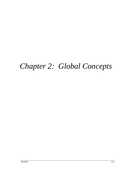# *Chapter 2: Global Concepts*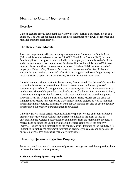#### **Overview**

Caltech acquires capital equipment in a variety of ways, such as a purchase, a loan or a donation. The way capital equipment is acquired determines how it will be recorded and managed throughout its lifecycle.

#### **The Oracle Asset Module**

The core component to efficient property management at Caltech is the Oracle Asset (OA) module, or also referred to as the ORACLE Fixed Asset System (FAS). It is the Oracle application designed to electronically track property accountable to the Institute and to calculate equipment depreciation for the facilities and administrative (F&A) cost rate calculation and financial statements purposes. It is the official Institute record of property at Caltech. Only Financial Services staff has access to OA. See "Roles and Responsibilities" in this chapter and "Identification: Tagging and Recording Property" in the Acquisition chapter, or contact Property Services for more information.

Caltech's campus administration is, by its nature, decentralized. The OA module provides a central information resource where administrative officers can locate a piece of equipment by searching for a tag number, serial number, custodian, purchase/requisition number, etc. The module provides crucial information for the Institute relative to Caltech, Government and sponsor funded assets. It also assists with tracking loaned equipment and other assets for which the Institute is accountable. These records are the basis for filing required reports for sponsor and Government funded projects as well as financial and management reporting. Information from the OA module can also be used to identify and report on the property purchasing trends of Caltech.

Caltech legally assumes certain responsibilities for sponsor-owned and sponsor funded property under its control. Caltech may therefore be liable in the event of loss or unreasonable use. Caltech's responsibility commences from the moment the property is received and does not end until the Contracting Officer grants relief, the property (material) is used during completion of the contract, or title transfers to the Institute. It is imperative to capture the equipment information accurately in OA as soon as possible to mitigate potential loss and ensure regulatory compliance.

#### **Three Key Questions Regarding Property**

Property control is a crucial component of property management and these questions help us determine how to control property.

#### **1. How was the equipment acquired?**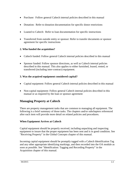- Purchase: Follow general Caltech internal policies described in this manual
- Donation: Refer to donation documentation for specific donor restrictions
- Loaned to Caltech: Refer to loan documentation for specific instructions
- Transferred from outside entity or sponsor: Refer to transfer documents or sponsor agreement for specific instructions

#### **2. Who funded the acquisition?**

- Caltech funded: Follow general Caltech internal policies described in this manual
- Sponsor funded: Follow sponsor directions, as well as Caltech internal policies described in this manual. This also applies to either furnished, leased, rented, or transferred (including inter-contract) equipment.

#### **3. Was the acquired equipment considered capital?**

- Capital equipment: Follow general Caltech internal policies described in this manual
- Non-capital equipment: Follow general Caltech internal policies described in this manual or as required by the loan or sponsor agreement

#### **Managing Property at Caltech**

There are property management tasks that are common to managing all equipment. The following is a brief summary of those tasks. The chapters and/or subchapters referenced after each item will provide more detail on related policies and procedures.

#### **When Equipment Arrives at Caltech**

Capital equipment should be properly received, including unpacking and inspecting equipment to insure that the proper equipment has been sent and is in good condition. See "Receiving Property" in the Global Concepts chapter of this manual.

Incoming capital equipment should be promptly tagged with a Caltech Identification Tag and any other appropriate identifying markings, and then recorded into the OA module as soon as possible. See "Identification: Tagging and Recording Property" in the Acquisition chapter of this manual.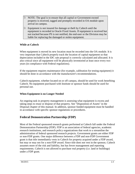- NOTE: The goal is to ensure that all capital or Government-owned property is received, tagged and promptly recorded in OA module upon arrival on campus.
- $\Theta$  Equipment is not insured for damage or theft by Caltech until the equipment is recorded in Oracle Fixed Assets. If equipment is received but not tracked because PS is not notified, the end-user or the Division may be liable for replacing the damaged or stolen equipment.

#### **While at Caltech**

When equipment is moved its new location must be recorded into the OA module. It is very important that Caltech properly track the location of capital equipment so that depreciation included in the IDC rate proposal is correctly calculated and allocated. It is also critical since all equipment will be physically inventoried at least once every two years (in compliance with Federal regulations).

If the equipment requires maintenance (for example, calibration for testing equipment) it should be done in accordance with the manufacturer's recommendations.

Caltech equipment, whether located on or off campus, should be used for work benefiting Caltech. No equipment purchased with Institute or sponsor funds should be used for personal use.

#### **When Equipment is no Longer Needed**

An ongoing task in property management is assessing what equipment is excess and taking steps to reuse or dispose of that property. See "Disposition of Assets" in the Disposal chapter of this manual. In addition, sponsor funded equipment must be handled in accordance with specific sponsor regulations or procedures.

#### **Federal Demonstration Partnership (FDP)**

Most of the Federal sponsored research grants performed at Caltech fall under the Federal Demonstration Partnership (FDP). FDP is an association of federal agencies, academic research institutions, and research policy organizations that work to a streamline the administration of federal sponsored research projects. Government grants are either FDP or non-FDP grants. One major difference between a FDP and non-FDP Government grant is that title immediately vests in Caltech for property acquired under a FDP award, but may or may not for a non-FDP award. Since title does not vest in the sponsor, Caltech assumes more of the risk and liability, but has fewer management and reporting requirements. Caltech is not allowed to purchase real property (i.e. land or buildings) under a FDP grant.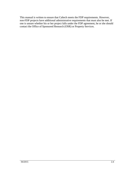This manual is written to ensure that Caltech meets the FDP requirements. However, non-FDP projects have additional administrative requirements that must also be met. If one is unsure whether his or her project falls under the FDP agreement, he or she should contact the Office of Sponsored Research (OSR) or Property Services.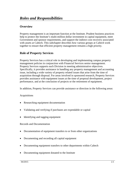#### **Overview**

Property management is an important function at the Institute. Prudent business practices help to protect the Institute's multi-million dollar investment in capital equipment, meet Government and sponsor requirements, and support the indirect cost recovery associated with assets at Caltech. This subchapter describes how various groups at Caltech work together to ensure that efficient property management remains a high priority.

#### **Role of Property Services**

Property Services has a critical role in developing and implementing campus property management policies in conjunction with Financial Services senior management. Property Services supports each Division in meeting administrative objectives. Specifically, it provides assistance in handling any property management and accounting issue, including a wide variety of property related issues that arise from the time of acquisition through disposal. For areas involved in sponsored research, Property Services provides assistance with equipment issues at the time of proposal development, project performance, and at the conclusion of projects or the retirement of equipment.

In addition, Property Services can provide assistance or direction in the following areas:

#### Acquisitions

- Researching equipment documentation
- Validating and verifying if purchases are expendable or capital
- Identifying and tagging equipment

#### Records and Documentation

- Documentation of equipment transfers to or from other organizations
- Documenting and recording all capital equipment
- Documenting equipment transfers to other departments within Caltech
- Documenting equipment donated to the Institute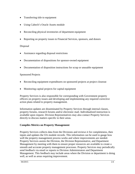- Transferring title to equipment
- Using Caltech's Oracle Assets module
- Reconciling physical inventories of department equipment
- Reporting on property issues to Financial Services, sponsors, and donors

#### Disposal

- Assistance regarding disposal restrictions
- Documentation of dispositions for sponsor-owned equipment
- Documentation of disposition instructions for scrap or unusable equipment

#### Sponsored Projects

- Reconciling equipment expenditures on sponsored projects at project close out
- Monitoring capital projects for capital equipment

Property Services is also responsible for corresponding with Government property officers on property issues and developing and implementing any required corrective action plans related to property management.

Information updates are disseminated by Property Services through internal classes, property forums, research forums and/or electronic mail. Individualized instruction is available upon request. Division Representatives may also contact Property Services directly to discuss matters specific to their areas.

#### **Compiles Metrics on Property Management**

Property Services collects data from the Divisions and reviews it for completeness, then inputs and updates the OA module records. This information can be used to gauge how well the property management process works and where improvements are needed. Property Services assists the Division, the Division Representative, and Department Management by meeting with them to ensure proper resources are available to create a smooth and accurate property management processes. Property Services may periodically send feedback via email or reports to Division Administrators and Department Management. This feedback may include areas where the Division or department is doing well, as well as areas requiring improvement.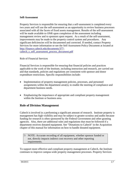#### **Self-Assessment**

Property Services is responsible for ensuring that a self-assessment is completed every two years and will use the self-assessment as an opportunity to review business processes associated with all the facets of fixed assets management. Results of the self-assessment will be made available to ONR upon completion of the assessment including management review and to sponsors upon request. As a result of the self-assessment, improvements may be made to the property control system and procedures. Any significant deficiencies will be documented and corrected. If needed, contact Property Services for more information or see the Self Assessment Policy Document at located at [http://finance.caltech.edu/documents/377](http://finance.caltech.edu/documents/377-caltech_s_self_assessment_process_document.pdf) [caltech\\_s\\_self\\_assessment\\_process\\_document.pdf](http://finance.caltech.edu/documents/377-caltech_s_self_assessment_process_document.pdf)

#### Role of Financial Services

Financial Services is responsible for ensuring that financial policies and practices applicable to the work of the Institute, including instruction and research, are carried out and that standards, policies and regulations are consistent with sponsor and donor expenditure restrictions. Specific responsibilities include:

- Implementation of property management policies, processes, and personnel assignments within the department area(s), to enable the meeting of compliance and department business needs.
- Emphasizing the importance of appropriate and compliant property management within the Institute or business area.

#### **Role of Division Management**

Caltech is involved in a performing a significant amount of research. Institute property is management has high visibility and may be subject to greater scrutiny and audits because funding for research is often sponsored by the Federal Government and other granting agencies. Also, there are additional rules and regulations that must be followed if a department receives donated equipment. See "Donations to Caltech" in the Acquisition chapter of this manual for information on how to handle donated equipment.

 NOTE: Accurate recording of all equipment, whether sponsor funded or not, directly impacts indirect cost recovery and other reporting requirements.

To support more effective and compliant property management at Caltech, the Institute continues to improve campus-wide property management processes. Property Services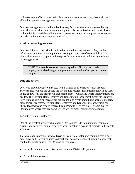will make every effort to ensure that Divisions are made aware of any issues that will affect their property management responsibilities.

Division management should involve Property Services whenever contacted by any internal or external auditor regarding equipment. Property Services will work closely with the Division and the auditing agency to ensure timely and adequate responses are provided while mitigating any Institute risk.

#### **Tracking Incoming Property**

Division Administrators should be listed on a purchase requisition so they can be informed of any new capital equipment arriving in their area of responsibility. This allows the Division to supervise the request for inventory tags and operation of their receiving process.

 NOTE: The goal is to ensure that all capital and Government funded property is received, tagged and promptly recorded in OA upon arrival on campus.

#### **Data and Metrics**

Divisions provide Property Services with data and or information which Property Services uses to input and update the OA module records. This information can be used to gauge how well the property management process works and where improvements are needed. The Division Representative and Department Management meet with Property Services to ensure proper resources are available to create smooth and accurate property management processes. Division Representatives and Department Management can utilize feedbacks and reports received from Property Services via electronic mail to identify areas where they are doing well as well as areas requiring improvement.

#### **Biggest Division Challenges**

One of the greatest property challenges a Division has is to help maintain, complete, current, and accurate equipment records while juggling a myriad of projects in the regular workday.

This challenge is best met when a Division is able to develop and communicate proper procedures and relevant policies to department personnel. Some stumbling blocks that can hinder timely entry of the OA module records are:

- Lack of communication between end user and Division Representative
- Lack of documentation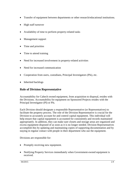- Transfer of equipment between departments or other research/educational institutions.
- High staff turnover
- Availability of time to perform property-related tasks
- Management support
- Time and priorities
- Time to attend training
- Need for increased involvement in property-related activities
- Need for increased communication
- Cooperation from users, custodians, Principal Investigators (PIs), etc.
- Inherited backlogs

#### **Role of Division Representative**

Accountability for Caltech owned equipment, from acquisition to disposal, resides with the Divisions. Accountability for equipment on Sponsored Projects resides with the Principal Investigator (PI) or PIs.

Each Division should designate a responsible Representative (or Representatives) to facilitate the property process. The role of the Division Representative is crucial for the Division to accurately account for and control capital equipment. This individual will help ensure that capital equipment is accounted for consistently and records maintained appropriately. In addition, they can make sure closets and storage areas are organized and excess equipment disposed of as soon as it is no longer needed. Division Representatives accomplish this by updating and maintaining copies of supporting documentation and by staying in regular contact with people in their department who use the equipment.

Divisions are responsible for:

- Promptly receiving new equipment.
- Notifying Property Services immediately when Government-owned equipment is received.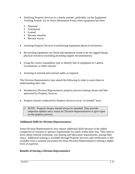- Notifying Property Services in a timely manner, preferably via the Equipment Tracking System (or an Asset Information Form) when equipment has been:
	- Disposed
	- **Transferred**
	- **Loaned**
	- Become obsolete
	- Become excess
- Assisting Property Services in performing equipment physical inventories.
- Reconciling equipment not found and equipment found to be not tagged during physical inventory (including providing support documentation).
- Using the correct expenditure type to identify title to equipment as Caltech, Government, or Other Owned.
- Assisting in internal and external audits as required.

The Division Representative may attend the following in order to assist them in understanding their role:

- Introductory Division Representative property process training classes and labs sponsored by Property Services
- Property forums conducted by Property Services on an "as needed" basis
	- NOTE: Property forums should always be attended. They provide important updates and a venue for Division Representatives to give input on the property process.

#### **Additional Skills for Division Representatives**

Some Division Representatives may require additional skills because of the added complexity of research or sponsor requirements for assets within their area. They need to know about external screening, cost sharing and fabrication requirements, among other topics. Additional training is available through Property Services and certification is also available from a national association for those Division Representatives seeking a higher level of expertise.

#### **Benefits of Having a Division Representative**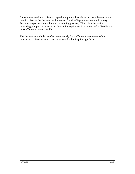Caltech must track each piece of capital equipment throughout its lifecycle— from the time it arrives at the Institute until it leaves. Division Representatives and Property Services are partners in tracking and managing property. This role is becoming increasingly important in ensuring that capital equipment is acquired and utilized in the most efficient manner possible.

The Institute as a whole benefits tremendously from efficient management of the thousands of pieces of equipment whose total value is quite significant.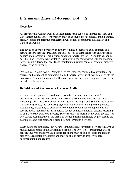#### **Overview**

All property that Caltech owns or is accountable for is subject to internal, external, and Government audits. Therefore property must be accounted for accurately and on a timely basis. Accurate and effective management will benefit departments individually and Caltech as a whole.

The key to an approved property control system and a successful audit is timely and accurate record keeping throughout the year, as well as compliance with all established policies and procedures. This includes entering property into the OA module as soon as possible. The Division Representative is responsible for coordinating with the Property Services staff entering the records and maintaining physical copies of essential property and receiving documents.

Division staff should involve Property Services whenever contacted by any internal or external auditor regarding equipment audit. Property Services will work closely with the Post Award Administration and the Division to ensure timely and adequate responses is provided to the auditors.

#### **Definition and Purpose of a Property Audit**

Auditing against property procedures is a standard business practice. Several organizations routinely audit property processes; these include the Office of Naval Research (ONR), Defense Contract Audit Agency (DCAA), Audit Services and Institute Compliance (ASIC), and sponsoring agencies that provided funding for the property. Additionally, audits may be performed for compliance with Federal regulations and specific award requirements. If an outside agency contacts a Division directly regarding an audit, refer the auditor to Property Services who will coordinate the audit process with Post Award Administration. No verbal or written information should be provided to the auditors without first notifying a person from the Property Services.

When audits are scheduled, Post Award Administration or Property Services will give as much advance notice to the Division as possible. The Division Representative will be actively involved and serve as an escort. He or she must be able to locate and identify property as requested by auditors and must be able to provide property-related documentation upon request.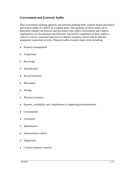#### **Government and External Audits**

The Government auditing agencies and external auditing firms conduct broad, procedural and system audits at Caltech on a regular basis. The purposes of these audits are to determine whether the policies and procedures that reflect Government and Caltech requirements are documented and followed. Successful completion of these audits is critical to ensure continued approval of Caltech's property system and an efficient equipment acquisition process. Property audits examine many areas including:

- Property management
- Acquisition
- Receiving
- Identification
- Record retention
- Movement
- Storage
- Physical inventory
- Reports; availability and completeness of supporting documentation
- Consumption
- Utilization
- Maintenance
- Subcontractor control
- Disposition
- Contract property closeout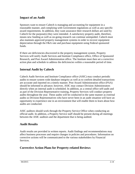#### **Impact of an Audit**

Sponsors want to ensure Caltech is managing and accounting for equipment in a reasonable manner, and complying with Government regulations as well as any specific award requirements. In addition, they want assurance their research dollars are used by Caltech for the purpose(s) they were intended. A satisfactory property audit, therefore, means new funding as well as on-going research can continue unimpeded. Caltech must also maintain approved property management systems in order to recover equipment depreciation through the F&A rate and purchase equipment using Federal sponsored funds.

If there are deficiencies discovered in the property management system, Property Services will notify Audit Services and Institute Compliance office, Office of Sponsored Research, and Post Award Administration office. The Institute must then set a corrective action plan and schedule to address the deficiencies within a reasonable period of time.

#### **Internal Audit by Caltech**

Caltech Audit Services and Institute Compliance office (ASIC) may conduct periodic audits to ensure system wide database integrity as well as to confirm detailed transactions are accurate and reported on a timely manner. Post Award Administration office (PAA) should be informed in advance; however, ASIC may contact Division Administrators directly when an internal audit is scheduled. In addition, as a central office self-audit and as part of the Division Representative training, Property Services will conduct property audits throughout the year. These audits will be conducted in the same manner as external audits so Division Representatives who have never been in an audit situation will have an opportunity to experience one in an environment that will enable them to learn about how audits are conducted.

ASIC auditors should work through the Property Service Office when conducting an official audit. In addition, a Property Service staff should be present during all meetings between the ASIC auditors and the department that is being audited.

#### **Audit Results**

Audit results are provided in written reports. Audit findings and recommendations may affect business processes and require changes in policies and procedures. Information on corrective actions will be communicated to the various stakeholders by Financial Services.

#### **Corrective Action Plans for Property-related Reviews**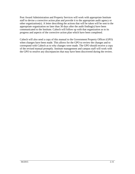Post Award Administration and Property Services will work with appropriate Institute staff to devise a corrective action plan and provide it to the appropriate audit agency or other organization(s). A letter describing the actions that will be taken will be sent to the appropriate organization no later than 30 days after the audit finding(s) have been communicated to the Institute. Caltech will follow up with that organization as to its progress and aspects of the corrective action plan which have been completed.

Caltech will also send a copy of this manual to the Government Property Officer (GPO) when changes have been made. This allows for the GPO to review the changes and to correspond with Caltech as to why changes were made. The GPO should receive a copy of the revised manual promptly. Institute management and campus staff will work with the GPO to resolve any discrepancies that may have been discovered during the review.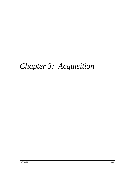# *Chapter 3: Acquisition*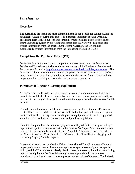## *Purchasing*

#### **Overview**

The purchasing process is the most common means of acquisition for capital equipment at Caltech. Accuracy during this process is extremely important because when any purchasing form is filled out with inaccurate information, it has a ripple effect on the entire accounting system by providing inaccurate data in a variety of databases that extract information from the procurement system. Currently, the OA module automatically extracts information from the Purchasing Module in Oracle.

#### **Completing the Purchase Order (PO)**

For current information on how to complete a purchase order, go to the Procurement Policies and Procedures website for the current version of the Purchasing Policies and Procurements Manual at [http://www.procurement.caltech.edu/policies\\_procedures.](http://www.procurement.caltech.edu/policies_procedures) This document includes information on how to complete a purchase requisition or a purchase order. Please contact Caltech's Purchasing Services department for assistance with the proper completion of all purchase orders and purchase requisitions.

#### **Purchases to Upgrade Existing Equipment**

An upgrade or rebuild is defined as a change in existing capital equipment that either extends the useful life of the equipment by more than one year, or significantly adds to the benefits the equipment can yield. In addition, the upgrade or rebuild must cost \$5000, or more.

Upgrades and rebuilds meeting the above requirements will be entered in OA. A new asset will be created and this asset line will be linked to the upgraded equipment, parent asset. The identification tag number of the piece of equipment, which will be upgraded, should be referenced on the purchase order and purchase requisition.

If an item is repaired and has no new equipment or utility added to it, the general ledger expenditure type for these services will be for "service" or "repair" and no record needs to be created or financially modified in the OA module. The value is not to be added to the "Current Cost" or "Cost" fields in the OA record. See "Identification: Tagging and Recording Property" in this chapter.

In general, all equipment received at Caltech is considered Plant Equipment - Personal property of a capital nature. There are exceptions for special test equipment or special tooling and the PI is required to clearly identify these purchases by including the wording "special test equipment" or "special tooling" where appropriate, in the purchase requisition for such equipment to ensure proper categorization of the asset. The Federal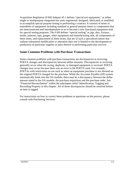Acquisition Regulation (FAR) Subpart 45.1 defines "special test equipment," as either single or multipurpose integrated test units engineered, designed, fabricated, or modified to accomplish special purpose testing in performing a contract. It consists of items or assemblies of equipment including standard or general purpose items or components that are interconnected and interdependent so as to become a new functional equipment item for special testing purposes. The FAR defines "special tooling" as jigs, dies, fixtures, molds, patterns, taps, gauges, other equipment and manufacturing aids, all components of these items, and replacement of these items, that are of such a specialized nature that without substantial modification or alteration their use is limited to the development or production of particular supplies or parts thereof or performing particular services

#### **Some Common Problems with Purchase Transactions**

Some common problems with purchase transactions are discrepancies in receiving, POETA changes and discrepancies between dollar amounts. Discrepancies in receiving generally occur when the wrong, duplicate, or damaged equipment is received. POETA changes may occur because there was an error in the POETA used. For example, POETAs with restrictions on use such as when an equipment purchase is not allowed on the original POETA charged for the purchase. While the Accounts Payable (AP) system automatically feeds into the OA module, there may be a discrepancy between the dollar amount stated in the OA module, the purchase requisition and the purchase order. See "Financial Reconciliation" within the subchapter titled "Identification: Tagging and Recording Property in this chapter. All of these discrepancies should be resolved before an item is tagged.

For instructions on how to correct these problems or questions on the process, please consult with Purchasing Services.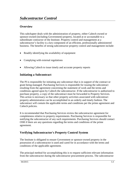#### **Overview**

This subchapter deals with the administration of property, either Caltech owned or sponsor-owned (including Government) property, located at or accountable to a subordinate contractor of the Institute. Property control and management at a subcontractor's facility is a key component of an efficient, professionally administered business. The benefits of strong subcontractor property control and management include:

- Readily identifying the availability of equipment
- Complying with external regulations
- Allowing Caltech to issue timely and accurate property reports

#### **Initiating a Subcontract**

The PI is responsible for initiating any subcontract that is in support of the contract or grant being managed. Purchasing Services is responsible for issuing the subcontract resulting from the agreement concerning the statement of work and the terms and conditions agreed upon by Caltech the subcontractor. If the subcontractor is authorized to purchase property, a copy of the subcontract must be forwarded to Property Services. This action is necessary so that other property activities associated with subcontract property administration can be accomplished in an orderly and timely fashion. The subcontract will contain the applicable terms and conditions per the prime agreement and Caltech policies.

It is recommended that Purchasing Services review the subcontractor agreement for completeness relative to property requirements. Purchasing Services is responsible for notifying the subcontractor of any such requirements. Purchasing Services should contact OSR if there are any questions regarding the terms and conditions of the prime agreement.

#### **Verifying Subcontractor's Property Control System**

The Institute is obligated to ensure Government or sponsor-owned property in the possession of a subcontractor is used and cared for in accordance with the terms and conditions of the applicable agreement.

The principal method for accomplishing this is to request sufficient relevant information from the subcontractor during the subcontractor procurement process. The subcontractor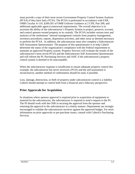must provide a copy of their most recent Government Property Control System Analysis (PCSA) if they have had a PCSA, The PCSA is performed in accordance with FAR, OMB Circular A-110, §200.501 of OMB Uniform Guidance at 2 CFR, Part 200, and additional applicable agency/contractual requirements. The overall objective is to ascertain the ability of the subcontractor's Property System to project, preserve, account, and control sponsor-owned property in its custody. The PCSA includes various tests and analyses of the institutions' internal management controls from property management, inventory procedures, reports, disposition activities, and other areas as deemed necessary to perform the PCSA. In addition, the subcontractor must also complete a Subcontractor Self-Assessment Questionnaire. The purpose of this questionnaire is to help Caltech determine the status of the organization's compliance with the Federal requirement to maintain an approved Property system. Property Services will evaluate the results of the subcontractor's most recent PCSA and the Subcontractor Self-Assessment Questionnaire and will inform the PI, Purchasing Services and ASIC if the subcontractor's property control system is deemed to be unacceptable.

When the subcontractor response is insufficient to ensure adequate property control (for example, the subcontractor has never received a PCSA and the self-assessment is inconclusive), another method of confirmation should be used, if possible.

Loss, damage, destruction, or theft of property under subcontractor control is a liability Caltech should attempt to control both from a financial and a fiduciary perspective.

#### **Prior Approvals for Acquisition**

In situations where sponsor approval is required prior to acquisition of equipment or material by the subcontractor, the subcontractor is required to send a request to the PI. The PI should work with the OSR in securing the approval from the sponsor and returning the approval to the subcontractor in a timely manner. Departments are strongly encouraged to validate the subcontractor invoices against the approved budget. For more information on prior approvals or pre-purchase issues, consult with Caltech's Purchasing Services*.*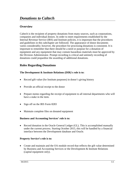#### **Overview**

Caltech is the recipient of property donations from many sources, such as corporations, companies and individual donors. In order to meet requirements established by the Internal Revenue Service (IRS) and Institute policies, it is important that the procedures and guidelines in this subchapter are followed. The appearance of donor documents varies considerably; however, the procedure for processing donations is consistent. It is important to remember that there should be a need or purpose for a donation of equipment and any equipment that may contain hazardous materials must be approved by the Division Administrator. Prompt recording is critical and untimely recording of donations could jeopardize the awarding of additional donations.

#### **Roles Regarding Donations**

#### **The Development & Institute Relations (DIR)'s role is to:**

- Record gift value (for Institute purposes) in donor's giving history
- Provide an official receipt to the donor
- Prepare memo regarding the receipt of equipment to all internal departments who will have a stake in the item.
- Sign off on the IRS Form 8283
- Maintain complete files on donated equipment

#### **Business and Accounting Services' role is to:**

• Record donation in the Oracle General Ledger (GL). This is accomplished manually under the current process. Starting October 2015, this will be handled by a financial interface between the Development database and Oracle.

#### **Property Service's role is to:**

• Create and maintain and the OA module record that reflects the gift value determined by Business and Accounting Services or the Development & Institute Relations (capital equipment only).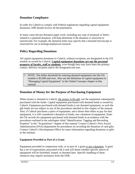#### **Donation Compliance**

In order for Caltech to comply with Federal regulations regarding capital equipment donations, DIR should receive all documentation.

In many cases the pre-donation paper work, including any type of proposal or letters related to a planned donation, will help determine if the donation is restricted or unrestricted. For example, the donation letter may specify that a donated microscope is restricted for use in biological/physical research.

#### **Policy Regarding Donations**

All capital equipment donations to Caltech, without exception, are designated in the OA module as owned by Caltech. **Capital equipment donations are not the personal property of faculty, staff or students**, even though they may have been the primary contact, delivery recipient and/or the designated end user.

 NOTE: The dollar threshold for entering donated equipment into the OA module is \$5,000 and over. Also see the definition of capital equipment in "Managing Capital Equipment" in the Global Concepts chapter in this manual.

#### **Donation of Money for the Purpose of Purchasing Equipment**

When money is donated to Caltech, the money is the gift, not the equipment subsequently purchased with the funds. Capital equipment purchased with donated funds is owned by Caltech. Equipment purchased with donated funds is not donated equipment, as such the gift funds are not subject to any of the procedures detailed in this chapter of the manual. Also, if Caltech purchases a piece of equipment, and a donor then offers to pay for that equipment, it is still considered a donation of funds, not a donation of equipment. Enter the OA records for equipment purchased with donated funds in accordance with the procedures outlined in the subchapter titled "Identification: Tagging and Recording Property" in the "Acquisitions" chapter of this manual. Contact Caltech's Post Award Administration (PAA) department for procedures on recording the donation of cash gifts. Contact Caltech's Development Office for more information regarding donations or gifts to the institute.

#### **Equipment Provided as Part of a Grant**

Equipment provided in conjunction with, or as part of, a grant is not a donation. A grant has a set of expectations associated with it and will detail whether specific pieces of equipment will be furnished, loaned, or donated later. Specific handling of these instances may require assistance from the OSR.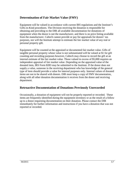## **Determination of Fair Market Value (FMV)**

Equipment will be valued in accordance with current IRS regulations and the Institute's Gifts-in-Kind procedures. The Division receiving the donation is responsible for obtaining and providing to the DIR all available documentation for donations of equipment when the donor is not the manufacturer, and there is no price listing available from the manufacturer. Caltech cannot provide or pay for appraisals for donors' tax purposes, nor will the Institute attempt to estimate the fair market value of any real or personal property gift.

Equipment will be counted at the appraised or documented fair market value. Gifts of tangible personal property whose value is not substantiated will be valued at \$1 for gift counting and recording purposes however, Caltech may choose to record the gift at an internal estimate of the fair market value. Those valued in excess of \$5,000 requires an independent appraisal of fair market value. Depending on the appraised value of the donated item, IRS Form 8283 may be submitted to the Institute. If the donor does not supply a value, someone in the receiving department who has knowledge of the general type of item should provide a value for internal purposes only. Internal values of donated items are not to be shared with donors. DIR must keep a copy of FMV documentation, along with all other donation documentation it receives from the donor and receiving department.

#### **Retroactive Documentation of Donations Previously Unrecorded**

Occasionally, a donation of equipment will not be properly reported or recorded. These items are frequently identified during the equipment inventory or as the result of a follow up to a donor requesting documentation on their donation. Please contact the DIR immediately for further information and instructions if you have a donation that was not reported or recorded.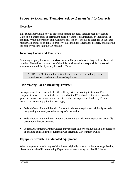This subchapter details how to process incoming property that has been provided to Caltech, on a temporary or permanent basis, by another organization, an individual, or sponsor. While the property is in Caltech's possession it should be cared for in the same manner as purchased or donated property. This includes tagging the property and entering the property record into the OA module.

# **Incoming Loans and Transfers**

Incoming property loans and transfers have similar procedures so they will be discussed together. Please keep in mind that Caltech is self-insured and responsible for loaned equipment while it is physically housed at Caltech.

 $\upbeta$  NOTE: The OSR should be notified when there are research agreements related to any transfers and loans of equipment.

# **Title Vesting For an Incoming Transfer**

For equipment loaned to Caltech, title will stay with the loaning institution. For equipment transferred to Caltech, the PIs and/or the OSR should determine, from the grant or contract document, where the title vests. For equipment funded by Federal awards, the following guidelines will apply:

- Federal Grant: Title will be with Caltech if title to the equipment originally vested to the granting university or other non-profit institution
- Federal Grant: Title will remain with Government if title to the equipment originally vested with the Government
- Federal Agreements/Grants: Caltech may request title or continued loan at completion of ongoing contract if the equipment was originally Government-owned

## **Equipment transfers of donated equipment**

When equipment transferring to Caltech was originally donated to the prior organization, please contact the Gift Accounting Department to resolve any possible IRS issues.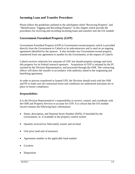#### **Incoming Loan and Transfer Procedure**

Please follow the guidelines outlined in the subchapters titled "Receiving Property" and "Identification: Tagging and Recording Property" in this chapter which provide the procedures for receiving and recording incoming loans and transfers into the OA module.

#### **Government Furnished Property (GFP)**

Government Furnished Property (GFP) is Government-owned property which is provided directly from the Government to Caltech or its subcontractors and is used on an ongoing agreement identified by the sponsor. It also includes any Government-owned property transferred from one agreement to another by the Government, at the request of Caltech.

Caltech receives relatively low amounts of GFP, but should properly manage and track this property for its Federal research sponsors. Acquisition of GFP is initiated by the PI assisted by the Division Representative, and processed through the OSR. The contracting officer will direct the transfer in accordance with authority stated in the originating and benefiting agreement.

In order to process transferred or loaned GFP, the Division should work with the OSR and PS to make sure all contractual terms and conditions are understood and plans are in place to ensure compliance.

#### **Responsibilities**

It is the Division Representative's responsibility to receive, control, and coordinate with the OSR and Property Services to account for GFP. It is critical that the OA module record contains the following basic information:

- Name, description, and National Stock Number (NSN), if furnished by the Government, or, if available in the property control system
- Quantity received (or fabricated), issued, and on hand
- Unit price (and unit of measure)
- Agreement number or the applicable fund number
- Location
- Disposition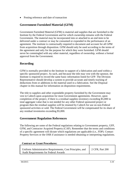• Posting reference and date of transaction

#### **Government Furnished Material (GFM)**

Government Furnished Material (GFM) is material and supplies that are furnished to the Institute by the Federal Government and for which ownership remains with the Federal Government. The material may be incorporated into or attached to an end item to be delivered under a contract or may be consumed or expended in the performance of an agreement. The institute is contractually required to document and account for all GPM from acquisition through disposition. GFM should only be used according to the terms of the agreement and only for the purpose for which they were furnished. GFM should never be commingled with any other material, regardless of ownership, without a formal approval from the Government.

#### **Recording**

GFM is normally provided to the Institute in support of a fabrication and used within a specific sponsored project. As such, and because the title may vest with the sponsor, the Institute is required to record the same basic information listed for GFP. The Division Representative should develop a system to provide accurate and timely tracking of deductions from or additions to the material used in a fabrication. See the Disposal chapter in this manual for information on disposition requirements.

The title to supplies and other expendable property furnished by the Government may vest in Caltech upon acquisition for most Government agreements. However, upon completion of the project, if there is a residual supplies inventory exceeding \$5,000 in total aggregate value that is not needed for any other Federal sponsored project or program then the residual supplies will be retained by Caltech for use on non-Federal sponsored activities or sold. The Federal Government will be compensated for its share of any residual inventories exceeding \$5,000.

#### **Government Regulation References**

The following are some of the Federal regulations relating to Government property, GFP, GFM, and Contractor Acquired Property (CAP). Remember that the terms and conditions of a specific agreement will dictate which regulations are applicable (i.e., FDP). Contact Property Services or the OSR if assistance is needed obtaining or interpreting regulations.

| <b>Contract or Grant Procedures:</b>                                                                      |                 |
|-----------------------------------------------------------------------------------------------------------|-----------------|
| Uniform Administrative Requirements, Cost Principles, and<br><b>Audit Requirements for Federal Awards</b> | 2 CFR, Part 200 |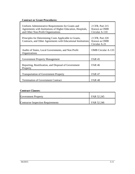# **Contract or Grant Procedures:**

| Uniform Administrative Requirements for Grants and<br>Agreements with Institutions of Higher Education, Hospitals,<br>and Other Non-Profit Organizations | 2 CFR, Part 215<br>Known as OMB<br>Circular A-110 |
|----------------------------------------------------------------------------------------------------------------------------------------------------------|---------------------------------------------------|
| Principles for Determining Costs Applicable to Grants,<br>Contracts, and Other Agreements with Educational Institutions                                  | 2 CFR, Part 220<br>Known as OMB<br>Circular A-21  |
| Audits of States, Local Governments, and Non Profit<br>Organizations                                                                                     | <b>OMB</b> Circular A-133                         |
| <b>Government Property Management</b>                                                                                                                    | <b>FAR45</b>                                      |
| Reporting, Reutilization, and Disposal of Government<br>Property                                                                                         | <b>FAR 46</b>                                     |
| <b>Transportation of Government Property</b>                                                                                                             | <b>FAR47</b>                                      |
| <b>Termination of Government Contract</b>                                                                                                                | <b>FAR48</b>                                      |

#### **Contract Clauses:**

| <b>Government Property</b>                | FAR 52.245 |
|-------------------------------------------|------------|
| <b>Contractor Inspection Requirements</b> | FAR 52.246 |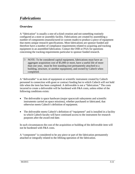A "fabrication" is usually a one-of-a-kind creation and not something routinely configured at a store or assembly facility. Fabrications are created by assembling a number of components (manufactured or custom made) to produce a piece of equipment that meets unique research specifications. Most fabrications are sponsor funded and therefore have a number of compliance requirements related to acquiring and tracking equipment in an assembled fabrication. Contact the OSR or PAA for questions concerning the tracking requirements particular to sponsor funded research.

 $\upbeta$  NOTE: To be considered capital equipment, fabrications must have an aggregate acquisition cost of \$5,000 or more, have a useful life of more than one year, must be free standing (not permanently attached to a building, structure, or another equipment), and owned by Caltech when completed.

A "deliverable" is an item of equipment or scientific instrument created by Caltech personnel in connection with grant or contract funding but to which Caltech will not hold title when the item has been completed. A deliverable is not a "fabrication." The costs incurred to create a deliverable will be burdened with F&A costs, unless either of the following conditions exists:

- The deliverable is space hardware (major spacecraft subsystems and scientific instruments carried on space missions), whether purchased or fabricated, that otherwise meets Caltech's definition of equipment.
- The deliverable meets Caltech's definition of "equipment" and is installed in a facility to which Caltech faculty will have continued access to the instrument for research purposes after the award end date.

In such circumstances the cost of the acquisition or building of the deliverable item will not be burdened with F&A costs.

A "component" is considered to be any piece or part of the fabrication permanently attached or integrally related to the lifelong operation of the fabrication.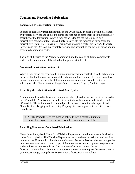# **Tagging and Recording Fabrications**

#### **Fabrication as Construction-In-Process**

In order to accurately track fabrications in the OA module, an asset tag will be assigned by Property Services and applied to either the first major component or to the first major assembly of the fabrication. When a fabrication is tagged the tag is placed on a fabrication's component that is most likely to stay with the fabrication throughout the fabrication's useful life, if possible. This tag will provide a useful aid to PAA, Property Services and the Division in accurately tracking and accounting for the fabrication and its associated component costs.

The tag will be used as the "parent" component and the cost of all future components added to the fabrication will be added to the parent's total cost.

#### **Associated Fabrication Equipment**

When a fabrication has associated equipment not permanently attached to the fabrication or integral to the lifelong operation of the fabrication, this equipment is to be treated as normal equipment to which the definition of capital equipment is applied. See the subchapter titled "Identification: Tagging and Recording Property" in this chapter.

#### **Recording the Fabrication in the Fixed Asset System**

A fabrication deemed to be capital equipment, when placed in service, must be tracked in the OA module. A deliverable installed in a Caltech facility must also be tracked in the OA module. The initial record is entered per the instructions in the subchapter titled "Identification: Tagging and Recording Property" in this chapter, with the differences listed below.

 NOTE: Property Services must be notified when a capital equipment fabrication is placed into service even if it is not closed in OGM.

#### **Recording Process for Completed Fabrication**

Many times it may be difficult for a Division Representative to know when a fabrication is due for completion. The Division Representative should send a periodic confirmation request to the PI to monitor the fabrication's status. Property Services also encourages the Division Representative to save a copy of the initial Fabricated Equipment Request Form and use the estimated completion date as a reminder to verify with the PI if the fabrication is complete. The Division Representative may also request that researchers in your department(s) promptly notify you when a fabrication is completed.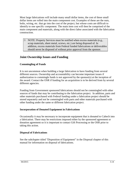Most large fabrications will include many small dollar items, the cost of these small dollar items are rolled into the main component cost. Examples of these are the nuts, bolts, wiring, etc. that go into the cost of the project, but whose costs are difficult to identify to one specific component. The main item cost will then be comprised of the main component and materials, along with the direct labor associated with the fabrication construction.

 NOTE: Property Services must be notified when excess materials (e.g., scrap materials, sheet metal, screws, etc.) are being disposed of. In addition, excess materials from Federal funded fabrications or deliverables should never be disposed of without prior approval from the sponsor.

# **Joint Ownership Issues and Funding**

#### **Commingling of Funds**

It is not uncommon when building a large fabrication to have funding from several different sources. Ownership and accountability can become important issues if authorization to commingle funds is not approved by the sponsor(s) at the inception of the award. Contact the OSR if funding for an acquisition is to be derived from by several different agencies.

Funding from Government sponsored fabrications should not be commingled with other sources of funds that may be contributing to the fabrication project. In addition, parts and other materials purchased with Federal funding under a fabrication project should be stored separately and not be commingled with parts and other materials purchased with other funding under the same or different fabrication project.

#### **Incorporation of Donated Equipment in Fabrications**

Occasionally it may be necessary to incorporate equipment that is donated to Caltech into a fabrication. There may be restrictions imposed either by the sponsored agreement or donation agreement so it is important to contact Gift Processing or the OSR prior to taking this action.

#### **Disposal of Fabrications**

See the subchapter titled "Disposition of Equipment" in the Disposal chapter of this manual for information on disposal of fabrications.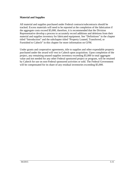#### **Material and Supplies**

All material and supplies purchased under Federal contracts/subcontracts should be tracked. Excess materials will need to be reported at the completion of the fabrication if the aggregate costs exceed \$5,000, therefore, it is recommended that the Division Representative develop a process to accurately record additions and deletions from their material and supplies inventory for fabricated equipment. See "Definitions" in the chapter titled "Introduction" and the subchapter titled "Property Loaned, Transferred, or Furnished to Caltech" in this chapter for more information on GFM.

Under grants and cooperative agreements, title to supplies and other expendable property purchased under the award will vest in Caltech upon acquisition. Upon completion of the project, any remaining unused supplies inventory exceeding \$5,000 in total aggregate value and not needed for any other Federal sponsored project or program, will be retained by Caltech for use on non-Federal sponsored activities or sold. The Federal Government will be compensated for its share of any residual inventories exceeding \$5,000.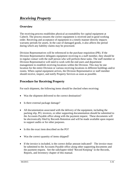The receiving process establishes physical accountability for capital equipment at Caltech. The process ensures the correct equipment is received and in good working order. Receiving and acceptance of equipment in a timely manner directly impacts warranty periods for assets. In the case of damaged goods, it also affects the period during which any liability claims may be processed.

Division Representatives will be referenced in the purchase requisition (PR). If the Division Representative delegates equipment receiving to a staff member, they should be in regular contact with the staff person who will perform these tasks. The staff member or Division Representative will need to work with the end users and department management to establish receiving locations within the Division. This may be one location for the entire Division or various receiving locations in different buildings and/or rooms. When capital equipment arrives, the Division Representative or staff member should receive, inspect, and notify Property Services as soon as possible.

# **Procedure for Receiving Property**

For each shipment, the following items should be checked when receiving:

- Was the shipment delivered to the correct destination?
- Is there external package damage?
- All documentation associated with the delivery of the equipment, including the packing slip, PO, invoices, or other supporting documentation should be submitted to the Accounts Payable office along with the payment request. These documents will be electronically filed by Records Retention and will be made available upon request to support audits or for other purposes.
- Is this the exact item described on the PO?
- Was the correct quantity of items shipped?
- If the invoice is included, is the correct dollar amount indicated? The invoice must be submitted to the Accounts Payable office along other supporting documents and the payment request. See the subchapter titled "Record Keeping" in the Records, Reports, and Inventory chapter of this manual.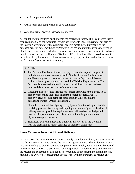- Are all components included?
- Are all items and components in good condition?
- Were any items received that were not ordered?

All capital equipment items must undergo the receiving process. This is a process that is required not only by the Accounts Payable office prior to invoice payment, but also by the Federal Government. If the equipment ordered meets the requirements of the purchase order or agreement, notify Property Services and mark the item as received in Oracle Receiving module, which is Caltech's program for receiving equipment purchased on a PO or via the Speedy Operating System (SOS). Once formally received, Accounts Payable will pay the vendor. If there is a reason why a payment should not occur, contact the Accounts Payable office immediately.

#### NOTE:

- 1. The Account Payable office will not pay vendors for capital equipment until the delivery has been recorded in Oracle. If an invoice is received and Receiving has not been performed, Accounts Payable will issue a notice to the originator, approvers, and the Division Representative. The Division Representative should contact the originator of the purchase order and determine the status of the equipment.
- 2. Receiving principles and instructions (unless otherwise noted) apply to all property (incoming loans and transfers, donated property, Federal property, etc.), not just items procured through Caltech's on line purchasing system (Oracle Purchasing).
- 3. Please keep in mind that signing for equipment is acknowledgment of the receiving process. Receiving and shipping documents signed at the time of delivery serve as proof that equipment was delivered on the designated date. It is important not to provide written acknowledgment without physical receipt of property.
- 4. Significant delays in unpacking shipments may result in the Division waiving their right to return damaged or incorrect shipments.

## **Some Common Issues at Time of Delivery**

In some cases, the Division Representative merely signs for a package, and then forwards it to the end user or PI, who checks the shipment against the PO. This is done for many reasons including to protect sensitive equipment (for example, items that must be opened in a clean room). In such cases, a receiver is responsible for documenting and forwarding the receipt and collection of data required for tagging and recording the item in the OA module. The Division Representative should work with the purchaser to resolve any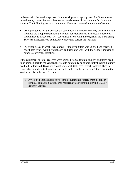problems with the vendor, sponsor, donor, or shipper, as appropriate. For Governmentowned items, contact Property Services for guidance on filling out a notification to the sponsor. The following are two common problems encountered at the time of receipt:

- Damaged goods if it is obvious the equipment is damaged, you may want to refuse it and have the shipper return it to the vendor for replacement. If the item is received and damage is discovered later, coordinate efforts with the originator and Purchasing Services, if necessary to contact the vendor and correct the situation.
- Discrepancies as to what was shipped if the wrong item was shipped and received, coordinate efforts with the purchaser, end user, and work with the vendor, sponsor or donor to correct the situation.

If the equipment or items received were shipped from a foreign country, and items need to be shipped back to the vender, there could potentially be export control issues that may need to be addressed, Divisions should work with Caltech's Export Control Office to ensure that export control issues are properly addressed before sending items back to the vender facility in the foreign country.

 Division/PI should not receive loaned equipment/property from a sponsor technical contact on a sponsored research award without notifying OSR or Property Services.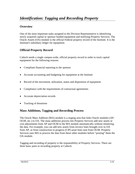# *Identification: Tagging and Recording Property*

# **Overview**

One of the most important tasks assigned to the Division Representative is identifying newly acquired capital or sponsor funded equipment and notifying Property Services. The Oracle Assets (OA) module is the official Federal property record of the Institute. It is the Institute's subsidiary ledger for equipment.

# **Official Property Record**

Caltech needs a single campus-wide, official property record in order to track capital equipment for the following reasons:

- Compliant financial reporting to the sponsor
- Accurate accounting and budgeting for equipment at the Institute
- Record of the movement, utilization, status and disposition of equipment
- Compliance with the requirements of contractual agreements
- Accurate depreciation records
- Tracking of donations

## **Mass Additions, Tagging and Recording Process**

The Oracle Mass Addition (MA) module is a staging area that links Oracle modules (AP, OGM, etc.) to OA. The mass additions process lets Property Services add new assets or cost adjustments from AP and OGM to the MA module automatically without reentering the data. For example, you can add new assets from invoice lines brought over to OA from AP, or from construction in progress (CIP) asset lines sent from OGM. Property Services uses MA to process the data from these other modules before "posting" them the OA module.

Tagging and recording of property is the responsibility of Property Services. There are three basic parts to recording property at Caltech: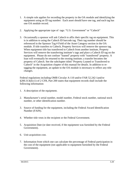- 1. A simple rule applies for recording the property in the OA module and identifying the equipment using an ID tag number: Each asset should have one tag, and each tag has one OA module record.
- 2. Applying the appropriate type of tags: "U.S. Government" or "Caltech"
- 3. Occasionally a sponsor will ask Caltech to affix their specific tag on equipment. This is in addition to using the Caltech ID barcode tag. Their tag number should be referenced in the Sponsor Tag # Field of the Asset Category section in the OA module. If title transfers to Caltech, Property Services will remove the sponsor tag. When equipment title has transferred to Caltech from another institute, Property Services will remove the transferring institute's tags and place a Caltech ID tag on the equipment. Please do not confuse "loaned" property with "transferred" property. A loan will eventually be returned to the owning institute; a transfer becomes the property of Caltech. See the subchapter titled "Property Loaned or Transferred to Caltech" in the Acquisition chapter of this manual for details. In addition to retagging the equipment, an update to the OA module is necessary to reflect any title changes.

Federal regulations including OMB Circular A-110 and/or FAR 52.242-1and/or §200.313(d) (1) of 2 CFR, Part 200 states that equipment records shall include the following information:

- 1. A description of the equipment.
- 2. Manufacturer's serial number, model number, Federal stock number, national stock number, or other identification number.
- 3. Source of funding for the equipment, including the Federal Award Identification Number (FAIN).
- 4. Whether title vests in the recipient or the Federal Government.
- 5. Acquisition Date (or date received, if the equipment was furnished by the Federal Government).
- 6. Unit acquisition cost.
- 7. Information from which one can calculate the percentage of Federal participation in the cost of the equipment (not applicable to equipment furnished by the Federal Government).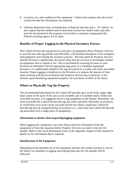- 8. Location, use, and condition of the equipment. Caltech also requires that the record contain the date the information was reported.
- 9. Ultimate disposition data, including date of disposal and sales price. At Caltech, we also require that the method used to determine current fair market value and sales price be documented in the property record where a recipient compensated the Federal awarding agency for its share.

# **Benefits of Proper Tagging in the Physical Inventory Process**

The Caltech ID barcode tag placed on each piece of equipment allows Property Services to scan the bar code tag quickly and efficiently, with minimal disruption to the workplace and equipment users during the inventory process. The time spent by Property Services and the Division is significantly decreased when they do not have to investigate whether an equipment item is capital or not. This is facilitated by ensuring all assets in your Division are identified with the appropriate tags prior to a scheduled equipment inventory. It is additionally helpful if the tags are placed in a visible and easily accessible location. Proper tagging is beneficial to the Division as it reduces the amount of time spent assisting with the reconciliation that Property Services has to perform. A few minutes spent identifying equipment properly can save hours of effort in the future.

# **Where to Physically Tag the Property**

The recommended placement for the Caltech ID barcode tag is in the front, upper right hand corner of the asset. If this area is not available, put it in another easily visible and accessible location. It is suggested never to tag equipment on the bottom. Remember, the more accessible the Caltech ID barcode tag, the easier and more efficiently an inventory or verification of an asset can be executed and the less likely a duplicate Caltech ID barcode tag may be assigned during an inventory (i.e., more than one Caltech ID barcode tag associated with a single piece of equipment).

#### **Information to obtain when inspecting/tagging equipment**

When tagging new equipment, you must obtain some key information from the equipment or from the requestor before Property Services can enter it into the OA module. Refer to the Asset Information Form in the Appendix chapter of this manual for details on the information that is required.

#### **Identification of the Equipment**

Depending on the intended use of the equipment and how the vendor invoices it, one of the follow two methods of tagging and entering data into the OA module will be followed: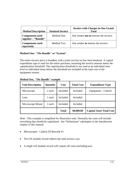| <b>Method Description</b>                     | <b>Itemized Invoice</b> | <b>Invoice with Charges in One Grand</b><br><b>Total</b> |
|-----------------------------------------------|-------------------------|----------------------------------------------------------|
| <b>Components used</b><br>together – "Bundle" | Method One              | Ask vendor <b>not to</b> itemize the invoice.            |
| <b>Components used</b><br>separately          | Method Two              | Ask vendor to itemize the invoice                        |

#### **Method One: "The Bundle" or "System"**

The entire invoice price is bundled, with a total cost but no line item breakout. A capital expenditure type is used for the entire purchase, assuming the invoice amount meets the capitalization threshold. The capitalization threshold is not used at an individual item level so individual items below the threshold are included in the total cost of the equipment system.

| <b>Unit Description</b> | Quantity | Cost         | <b>Total Cost</b> | <b>Expenditure Type</b>         |
|-------------------------|----------|--------------|-------------------|---------------------------------|
| Microscope              | 1 each   | Included     | Included          | Equipment – Caltech             |
| Lens                    | 1 each   | Included     | Included          |                                 |
| Microscope Mount        | 1 each   | Included     | Included          |                                 |
|                         |          | <b>Total</b> | \$8,000.00        | <b>Capital Asset Total Cost</b> |

*Method One, "The Bundle" example*

Note: This example is simplified for illustration only. Normally the costs will include everything that should be capitalized. See "Definitions" subchapter in the Introduction chapter of this manual.

- Microscopes: Caltech ID Barcode #1
- The OA module record reflects the total invoice cost.
- A single OA module record will contain all costs (including tax).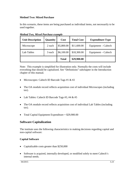#### **Method Two: Mixed Purchase**

In this scenario, these items are being purchased as individual items, not necessarily to be used together.

| <b>Unit Description</b> | <b>Quantity</b> | Cost         | <b>Total Cost</b> | <b>Expenditure Type</b> |
|-------------------------|-----------------|--------------|-------------------|-------------------------|
| Microscope              | 2 each          | \$5,800.00   | \$11,600.00       | Equipment – Caltech     |
| Lab Tables              | 3 each          | \$6,100.00   | \$18,300.00       | Equipment – Caltech     |
|                         |                 | <b>Total</b> | \$29,900.00       |                         |

*Method Two, Mixed Purchase example*

Note: This example is simplified for illustration only. Normally the costs will include everything that should be capitalized. See "Definitions" subchapter in the Introduction chapter of this manual.

- Microscopes: Caltech ID Barcode Tags #1 & #2
- The OA module record reflects acquisition cost of individual Microscopes (including tax).
- Lab Tables: Caltech ID Barcode Tags #3, #4 & #5
- The OA module record reflects acquisition cost of individual Lab Tables (including tax).
- Total Capital Equipment Expenditure  $= $29,900.00$

#### **Software Capitalization**

The institute uses the following characteristics in making decisions regarding capital and non-capital software:

#### **Capital Software**

- Capitalizable costs greater than \$250,000
- Software is acquired, internally developed, or modified solely to meet Caltech's internal needs.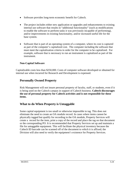- Software provides long-term economic benefit for Caltech.
- The project includes either new application or upgrades and enhancements to existing internal use software that results in "additional functionality" (such as modifications to enable the software to perform tasks it was previously incapable of performing), and/or improvements in existing functionality, and/or increased useful life for the base system.
- Software that is part of an operating system of a computer, where its cost is captured as part of the computer's capitalized cost. The computer including the software that must meet the capitalization criteria in order for the computer to be capitalized. For example, software that is necessary to run an instrument is capitalized as part of the instrument.

#### **Non-Capital Software**

Capitalizable costs less than \$250,000. Costs of computer software developed or obtained for internal use when incurred for Research and Development is expensed.

#### **Personally Owned Property**

Risk Management will not insure personal property of faculty, staff, or students, even if it is being used on the Caltech campus in support of Caltech business. **Caltech discourages the use of personal property for Caltech activities and is not responsible for these items.** 

#### **What to do When Property is Untaggable**

Some capital equipment is too small or otherwise impossible to tag. This does not eliminate the need to create an OA module record. In cases where items cannot be physically tagged but qualify for recording in the OA module, Property Services will create a record for the item, print a copy of the record and place the tag on that document or the corresponding PO. It is recommended that Property Services set up and maintain a file for untaggable equipment. This will facilitate the physical inventory because the Caltech ID barcode can be scanned off of the document to which it is affixed; the Division will also need to verify the equipment's existence for Property Services.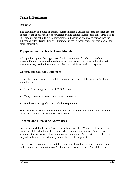# **Trade-in Equipment**

#### **Definition**

The acquisition of a piece of capital equipment from a vendor for some specified amount of money and an existing piece of Caltech owned capital equipment is considered a tradein. Trade-ins are actually a two-part process, a disposition and an acquisition. See the subchapter titled "Disposition of Equipment" in the Disposal chapter of this manual for more information.

# **Equipment in the Oracle Assets Module**

All capital equipment belonging to Caltech or equipment for which Caltech is accountable must be entered into the OA module. Some sponsor funded or donated equipment may need to be entered into the OA module for tracking purposes.

# **Criteria for Capital Equipment**

Remember, to be considered capital equipment, ALL three of the following criteria should be met:

- Acquisition or upgrade cost of \$5,000 or more.
- Have, or extend, a useful life of more than one year.
- Stand alone or upgrade to a stand-alone equipment.

See "Definitions" subchapter of the Introduction chapter of this manual for additional information on each of the criteria listed above.

## **Tagging and Recording Accessories**

Follow either Method One or Two of the subchapter titled "Where to Physically Tag the Property" of this chapter of this manual when deciding whether to tag and record separately the accessories of particular capital equipment. Accessories are broken out only when they are not part of a system or bundle of equipment.

If accessories do not meet the capital equipment criteria, tag the main component and include the entire acquisition cost (including accessories) in the OA module record.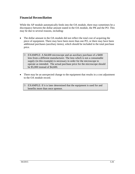#### **Financial Reconciliation**

While the AP module automatically feeds into the OA module, there may sometimes be a discrepancy between the dollar amount stated in the OA module, the PR and the PO. This may be due to several reasons, including:

- The dollar amount in the OA module did not reflect the total cost of acquiring the piece of equipment. There may have been more than one PO, or there may have been additional purchases (auxiliary items), which should be included in the total purchase price.
	- EXAMPLE: A \$4,600 microscope and an auxiliary purchase of a \$400 lens from a different manufacturer. The lens which is not a consumable supply (in this example) is necessary in order for the microscope to operate as intended. The actual purchase price for the microscope should be \$5,000 instead of \$4,600.
- There may be an unexpected change to the equipment that results in a cost adjustment to the OA module record.

 $\upbeta$  EXAMPLE: If it is later determined that the equipment is used for and benefits more than once sponsor.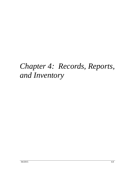# *Chapter 4: Records, Reports, and Inventory*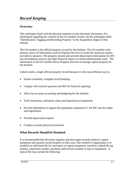This subchapter deals with the physical retention of non-electronic documents. For information regarding the creation of the OA module records, see the subchapter titled "Identification: Tagging and Recording Property "in the Acquisition chapter of this manual.

The OA module is the official property record for the Institute. The OA module is the primary source of information used by Property Services to create the numerous reports provided to sponsors. The property records also provide depreciation information for IDC rate development process and other financial reports to central administration units. The information in the OA module allows Property Services to manage capital property for the Institute.

Caltech needs a single official property record because it is the most efficient way to:

- Ensure consistent, complete record keeping
- Comply with research sponsors and IRS for financial reporting
- Allow for accurate accounting and budgeting for the Institute
- Track movement, utilization, status and disposition of equipment
- Provide information to support the equipment component of the IDC rate for audits and negotiations
- Provide depreciation reports
- Conduct accurate physical inventories

## **What Records Should be Retained**

It is recommended that Divisions organize and store paper records related to capital equipment and sponsor-owned property in their area. One method of organization is to establish an individual file for each piece of capital equipment, sorted by Caltech ID tag number, requisition number, purchase order/invoice number or type of equipment. A typical file may include the following: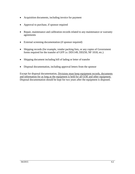- Acquisition documents, including invoice for payment
- Approval to purchase, if sponsor required
- Repair, maintenance and calibration records related to any maintenance or warranty agreements
- External screening documentation (if sponsor required)
- Shipping records (for example, vendor packing lists, or any copies of Government forms required for the transfer of GFP i.e. DD1149, DD250, NF 1018, etc.)
- Shipping document including bill of lading or letter of transfer
- Disposal documentation, including approval letters from the sponsor

Except for disposal documentation, Divisions must keep equipment records, documents and information for as long as the equipment is held for all GOE and other equipment. Disposal documentation should be kept for two years after the equipment is disposed.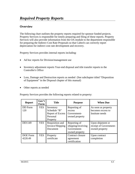The following chart outlines the property reports required for sponsor funded projects. Property Services is responsible for timely preparing and filing of these reports. Property Services will also provide information from the OA module to the department responsible for preparing the Indirect Cost Rate Proposals so that Caltech can correctly report depreciation for indirect cost rate development and recovery.

Property Services provides internal reports including:

- Ad hoc reports for Division/management use
- Inventory adjustment reports Year-end disposal and title transfer reports to the Controller's Office
- Loss, Damage and Destruction reports as needed (See subchapter titled "Disposition" of Equipment" in the Disposal chapter of this manual)
- Other reports as needed

Property Services provides the following reports related to property:

| <b>Report</b>       | Gov't<br>Form | <b>Title</b>                                                                 | <b>Purpose</b>                                                      | <b>When Due</b>                                              |
|---------------------|---------------|------------------------------------------------------------------------------|---------------------------------------------------------------------|--------------------------------------------------------------|
| DD Form<br>120      | <b>YES</b>    | Inventory<br>Schedule "B"<br><b>Report of Excess</b><br>Personal<br>Property | Reporting of<br>excess<br>Government-<br>owned property             | As soon as property<br>becomes excess to<br>Institute needs  |
| DD1149              | <b>YES</b>    | Requisition and<br>Invoice/Shipping<br>Document                              | Reporting of<br>shipping/receiving<br>Government-<br>owned property | Upon shipment or<br>receipt of Government-<br>owned property |
| DOE Form<br>4220.49 | <b>YES</b>    | Property<br>certificate                                                      | Contract closure<br>agreement<br>certification                      | Upon contract<br>completion                                  |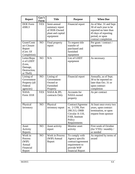| <b>Report</b>                                                               | Gov't<br>Form | <b>Title</b>                                                                    | <b>Purpose</b>                                                                                                     | <b>When Due</b>                                                                                                                              |
|-----------------------------------------------------------------------------|---------------|---------------------------------------------------------------------------------|--------------------------------------------------------------------------------------------------------------------|----------------------------------------------------------------------------------------------------------------------------------------------|
| <b>DOE</b> Form<br>4300.3                                                   | <b>YES</b>    | Semi-annual<br>summary report<br>of DOE-Owned<br>plant and capital<br>equipment | Financial report                                                                                                   | As of Mar. 31 and Sept.<br>30 of each year to be<br>reported no later than<br>45 days of reporting<br>period, or upon<br>contract completion |
| Grant/Contr<br>act Closure<br>Report<br>(Cert. Of<br>Completion)            | NO            | Final property<br>report                                                        | To request title<br>transfer of<br>purchased and<br>furnished<br>equipment                                         | Per grant / contract /<br>agreement                                                                                                          |
| Letter/Repo<br>rt of LDDT<br>(Loss,<br>Damage,<br>Destruction,<br>or Theft) | NO            | N/A                                                                             | List of LDDT<br>equipment                                                                                          | As necessary                                                                                                                                 |
| Listing of<br>Government<br>Property (all<br>Federal<br>agencies)           | NO            | Listing of<br>Government-<br>Owned or<br>Furnished<br>Property                  | Financial report                                                                                                   | Annually, as of Sept.<br>30 to be reported no<br>later than Oct. 31 or<br>upon contract<br>completion                                        |
| <b>NASA</b><br>Form 1018                                                    | <b>YES</b>    | NASA & JPL<br>contracts Only                                                    | <b>Accounts</b> for<br>NASA owned<br>property                                                                      | As per contract                                                                                                                              |
| Physical<br>Inventory                                                       | NO            | Physical<br>inventory report                                                    | Contract/Agreeme<br>nt, 2 CFR, Part<br>200.313, OMB<br>Circular A-110.<br>FAR, Institute<br>Policy<br>Requirements | At least once every two<br>years, upon contract<br>termination, or upon<br>request from sponsor                                              |
| Asset<br>Activity<br>Reports                                                | NO            | Asset activity<br>report                                                        | Monitor asset<br>activity                                                                                          | First week of October<br>(for YTD) / monthly /<br>as needed                                                                                  |
| Work in<br>Process<br>(WIP)<br>Annual<br>Financial<br>Report                | NO            | <b>Work in Process</b><br>(WIP) Annual<br>Report                                | To comply with<br>Agency specific<br>contract/agreement<br>requirement to<br>provide WIP<br>financial Report       | As required by terms of<br>award                                                                                                             |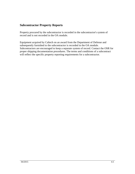## **Subcontractor Property Reports**

Property procured by the subcontractor is recorded in the subcontractor's system of record and is not recorded in the OA module.

Equipment acquired by Caltech on an award from the Department of Defense and subsequently furnished to the subcontractor is recorded in the OA module. Subcontractors are encouraged to keep a separate system of record. Contact the OSR for proper shipping documentation procedures. The terms and conditions of a subcontract will reflect the specific property reporting requirements for a subcontractor.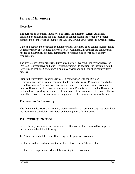The purpose of a physical inventory is to verify the existence, current utilization, condition, continued need for, and location of capital equipment owned by, donated, furnished to or otherwise accountable to Caltech, as well as Government-owned property.

Caltech is required to conduct a complete physical inventory of its capital equipment and Federal property at least once every two years. Additional, inventories are conducted as needed to either fulfill property administration responsibilities or specific agency requirements.

The physical inventory process requires a team effort involving Property Services, the Division Representative and other Division personnel. In addition, the Institute's Audit Services and Institute Compliance group may review and audit the physical inventory process.

Prior to the inventory, Property Services, in coordination with the Division Representative, tags all capital equipment, adds or updates any OA module records that are still outstanding, or processes disposals in order to ensure an efficient inventory process. Divisions will receive advance notice from Property Services at the Division or Institute level regarding the planned date and scope of the inventory. Divisions will also typically receive several weeks' notice to prepare for their inventory prior to its start.

# **Preparation for Inventory**

The following describes the inventory process including the pre-inventory interview, how the inventory is scheduled, and advice on how to prepare for this event.

# **Pre-Inventory Interview**

Before the physical inventory commences the Division will be contacted by Property Services to establish the following:

- 1. A time to conduct the kick-off meeting for the physical inventory.
- 2. The procedures and schedule that will be followed during the inventory.
- 3. The Division personnel who will be assisting in the inventory.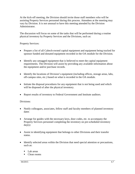At the kick-off meeting, the Division should invite those staff members who will be assisting Property Services personnel during this process. Attendees at the meeting may vary by Division. It is not unusual to have this meeting attended by the Division Administrator.

The discussion will focus on some of the tasks that will be performed during a routine physical inventory by Property Services and the Divisions, such as:

Property Services:

- Prepare a list of all Caltech-owned capital equipment and equipment being tracked for sponsor funded and donated equipment recorded in the OA module for the Division.
- Identify any untagged equipment that is believed to meet the capital equipment requirements. The Division will assist by providing any available information about the equipment and/or purchase records.
- Identify the locations of Division's equipment (including offices, storage areas, labs, off-campus sites, etc.) based on what is recorded in the OA module.
- Initiate the disposal procedures for any equipment that is not being used and which will be disposed of after the physical inventory.
- Report results of inventory to Federal Government and Institute auditors.

Divisions:

- Notify colleagues, associates, fellow staff and faculty members of planned inventory dates
- Arrange for guides with the necessary keys, door codes, etc. to accompany the Property Services personnel completing the inventory on pre-scheduled inventory  $day(s)$
- Assist in identifying equipment that belongs to other Divisions and their transfer status.
- Identify selected areas within the Division that need special attention or precautions, such as:
	- Lab areas
	- Clean rooms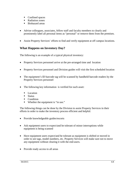- Confined spaces
- Radiation zones
- Biohazard areas
- Advise colleagues, associates, fellow staff and faculty members to clearly and prominently label all personal items as "personal" or remove them from the premises.
- Assist Property Services' efforts to find and verify equipment at off campus locations.

# **What Happens on Inventory Day?**

The following is an example of a typical physical inventory:

- Property Services personnel arrive at the pre-arranged time and location
- Property Services personnel and Division guides will visit the first scheduled location
- The equipment's ID barcode tag will be scanned by handheld barcode readers by the Property Services personnel
- The following key information is verified for each asset:
	- Location
	- **Status**
	- Condition
	- Whether the equipment is "in use."

The following things can be done by the Division to assist Property Services in their efforts in order to make the inventory process efficient and helpful:

- Provide knowledgeable guides/escorts
- Ask equipment users to expect/and be tolerant of minor interruptions while equipment is being scanned
- Have equipment users expect/and be tolerant as equipment is shifted or moved in order to see tags, model numbers, etc. Property Services will make sure not to move any equipment without clearing it with the end-users.
- Provide ready access to all areas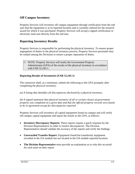## **Off Campus Inventory**

Property Services will inventory off campus equipment through certification from the end user that the equipment is at its reported location and is currently utilized for the research award for which it was purchased. Property Services will accept a signed certification or electronic mail sent directly from the end user.

#### **Reporting Inventory Results**

Property Services is responsible for performing the physical inventory. To ensure proper segregation of duties in the physical inventory process, Property Services personnel may be rotated among the Divisions to ensure a proper separation of duties.

#### **Reporting Results of Inventories (FAR 52.245-1)**

The contractor shall, as a minimum, submit the following to the GPA promptly after completing the physical inventory:

*(a) A listing that identifies all discrepancies disclosed by a physical inventory.* 

*(b) A signed statement that physical inventory of all or certain classes of government property was completed on a given date and that the official property records were found to be in agreement except for discrepancies reported*

Property Services will inventory all capital equipment found on campus and will verify off-campus capital equipment and report the results to the GPA, as follows:

- **Inventory Discrepancy Reports:** These reports require a quick response by the Division Representative in order to resolve discrepancies. The Division Representative should validate the accuracy of the reports and verify the findings.
- **Unrecorded Transfer Report:** Equipment found but transferred, equipment recorded in the OA module but not located in the OA module reported location.
- **The Division Representative** must provide an explanation as to why this occurred for each asset on their report.

NOTE: Property Services will notify the Government Property Administrator (GPA) of the results of the physical inventory in accordance with FAR 52.245-1.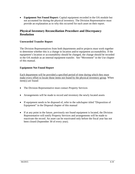• **Equipment Not Found Report:** Capital equipment recorded in the OA module but not accounted for during the physical inventory. The Division Representative must provide an explanation as to why this occurred for each asset on their report.

#### **Physical Inventory Reconciliation Procedure and Discrepancy Resolution**

#### **Unrecorded Transfer Report**

The Division Representatives from both departments and/or projects must work together to determine whether this is a change in location and/or equipment accountability. If the equipment's location or accountability should be changed, the change should be recorded in the OA module as an internal equipment transfer. See "Movement" in the Use chapter of this manual.

#### **Equipment Not Found Report**

Each department will be provided a specified period of time during which they must make every effort to locate those items not found by the physical inventory group. When item(s) are found:

- The Division Representative must contact Property Services
- Arrangements will be made to record and inventory the newly located assets
- If equipment needs to be disposed of, refer to the subchapter titled "Disposition of Equipment" in the Disposal chapter of this manual
- If at any point in the future, previously not found equipment is located, the Division Representative will notify Property Services and arrangements will be made to reactivate the record. An asset can be reactivated only before the fiscal year has not been closed (September 30 of every year).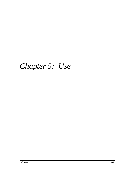# *Chapter 5: Use*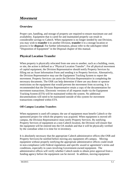# *Movement*

#### **Overview**

Proper care, handling, and storage of property are required to ensure maximum use and availability. Equipment that is cared for and maintained properly can result in considerable savings to Caltech. When equipment is no longer needed by one Division, you may wish to **transfer** it to another Division, **transfer** it to a storage location or process it for **disposal**. For further information, please refer to the subchapter titled "Disposition of Equipment" in the Disposal chapter of this manual.

## **Physical Location Transfer**

When property is physically relocated from one area to another, such as a building, room, or site, the action is defined as a "Physical Location Transfer". For all physical movement of capital equipment, the Division Representative should notify Property Services by filling out an Asset Information Form and sending it to Property Services. Alternatively, the Division Representative may use the Equipment Tracking System to report the movement. Property Services can assist the Division Representative in completing the necessary documents. The OSR can help determine if there are any donor or sponsor restrictions on the equipment that would prevent the movement from occurring. It is recommended that the Division Representative retain a copy of the documentation for movement transactions. Electronic versions of all requests made via the Equipment Tracking System (ETS) will be maintained within the system. No additional documentations will need to be maintained outside of this system for movement transactions completed within ETS.

#### **Off-Campus Location Transfers**

When equipment is used off-campus; the use of equipment must benefit Caltech or the sponsored project for which the property was acquired. When equipment is moved offcampus, the Division Representative must notify Property Services. By notifying Property Services of equipment at a non-Caltech location, the Division will ensure that the equipment will be entered into the OA module and that it will be physically verified by the custodian when it is time for re-inventory.

It is absolutely necessary that the appropriate Caltech administrative offices (the OSR and Property Services) be notified before moving any equipment off-campus. Moving equipment without properly notifying the appropriate administrative offices could result in non-compliance with Federal regulations and specific award or agreement's terms and conditions, especially in cases involving Government-owned equipment. The administrative offices will verify whether Caltech needs to obtain prior approval from a funding agency before the equipment can be moved. In addition, moving equipment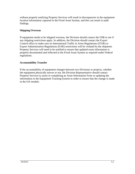without properly notifying Property Services will result in discrepancies in the equipment location information captured in the Fixed Asset System, and this can result in audit findings.

#### **Shipping Overseas**

If equipment needs to be shipped overseas, the Division should contact the OSR to see if any shipping restrictions apply. In addition, the Division should contact the Export Control office to make sure no International Traffic in Arms Regulations (ITAR) or Export Administration Regulations (EAR) restrictions will be violated by the shipment. Property Services will need to be notified to ensure that updated room information is properly documented and reflected in the Fixed Asset System as required under Federal regulations.

#### **Accountability Transfer**

If the accountability of equipment changes between two Divisions or projects, whether the equipment physically moves or not, the Division Representative should contact Property Services to assist in completing an Asset Information Form or updating the information in the Equipment Tracking System in order to ensure that the change is made in the OA module.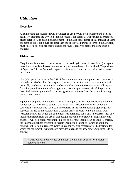At some point, all equipment will no longer be used or will not be expected to be used again. At that time the Division should process it for disposal. For further information, please refer to "Disposition of Equipment" in the Disposal chapter of this manual. If there are plans to use it for a purpose other than the one it was purchased for then the Division must follow a specific process to ensure approval is received before the item's use is changed.

# **Utilization**

If equipment is not used or not expected to be used again due to its condition (i.e., spare parts donor, obsolete, broken, excess, etc.), please see the subchapter titled "Disposition of Equipment" in the Disposal chapter of this manual for additional information on reutilization.

Notify Property Services or the OSR if there are plans to use equipment for a purpose or research award other than the purpose or research award for which the equipment with originally purchased. Equipment purchased under a Federal research grant will require formal approval from the funding agency for use on a purpose outside of the purpose described in the original funding award agreement while work on the original funding award is still active.

Equipment acquired with Federal funding will require formal approval from the funding agency for use in a service center if the initial work (research award) for which the equipment was purchased for is still in progress. If the Federal funding agency grants approval for use of the equipment in a service center capacity while the initial work (research award) for which the equipment was purchased for is still in progress, then any income generated from the use of that equipment will be considered "program income" and there will be Federal restrictions placed on how that income can be used. Generally the Federal guidelines expect the program income to be applied toward as additional funding to the original research award unless the specific research award agreement for which the equipment was purchased provides language for how program income is to be applied.

 NOTE: Government-owned equipment should only be used for Federal authorized work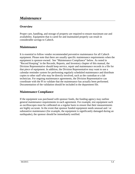# *Maintenance*

#### **Overview**

Proper care, handling, and storage of property are required to ensure maximum use and availability. Equipment that is cared for and maintained properly can result in considerable savings to Caltech.

## **Maintenance**

It is essential to follow vendor recommended preventive maintenance for all Caltech equipment. Please note that there are usually specific maintenance requirements when the equipment is sponsor-owned. See "Maintenance Compliance" below. As noted in "Record Keeping" in the Records, Reports, and Inventory chapter of this manual, the Division Representative should keep service, repair and maintenance records in a file for that piece of equipment. In addition, the Division Representative may want to use a calendar reminder system for performing regularly scheduled maintenance and distribute copies to other staff who may be directly involved, such as the custodian or a lab technician. For ongoing maintenance agreements, the Division Representative can coordinate with the PI to validate that the maintenance has actually been performed. Documentation of the validation should be included in the department file.

#### **Maintenance Compliance**

If the equipment was purchased with sponsor funds, the funding agency may outline general maintenance requirements in each agreement. For example, test equipment such as oscilloscopes must be calibrated on a regular basis to ensure that their measurements are highly accurate. In the event that sponsor funded equipment needs unusual and / or substantive maintenance (for example, the equipment is significantly damaged during an earthquake), the sponsor should be immediately notified.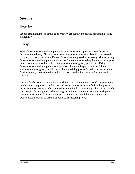## *Storage*

#### **Overview**

Proper care, handling, and storage of property are required to ensure maximum use and availability.

#### **Storage**

When Government-owned equipment is found to be excess please contact Property Services immediately. Government-owned equipment must be utilized for the research for which it was procured and Federal Government approval is necessary prior to storing Government-owned equipment or using the Government-owned equipment for a purpose other than the purpose for which the equipment was originally purchased. Using Government-owned equipment for a purpose other than the purpose for which the equipment was originally purchased without obtaining proper formal approval from the funding agency is considered unauthorized use of Federal property and is an illegal activity.

It is absolutely critical that when the work for which Government-owned equipment was purchased is completed, that the OSR and Property Services is notified so that proper disposition instructions can be obtained from the funding agency regarding what Caltech is to do with the equipment. The funding agency may provide instructions to ship the equipment to another facility; therefore, it cannot be assumed that the Governmentowned equipment can be used to support other research projects.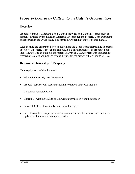#### **Overview**

Property loaned by Caltech to a non-Caltech entity for non-Caltech research must be formally initiated by the Division Representative through the Property Loan Document and recorded in the OA module. See forms in "Appendix" chapter of this manual.

Keep in mind the difference between movement and a loan when determining to process to follow. If property is moved off-campus, it is a physical transfer of property, not a loan. However, as an example, if property is given to UCLA for research unrelated to research at Caltech and Caltech retains the title for the property it is a loan to UCLA.

#### **Determine Ownership of Property**

If the equipment is Caltech owned:

- Fill out the Property Loan Document
- Property Services will record the loan information in the OA module

If Sponsor Funded/Owned:

- Coordinate with the OSR to obtain written permission from the sponsor
- Leave all Caltech Property Tags on loaned property
- Submit completed Property Loan Document to ensure the location information is updated with the new off-campus location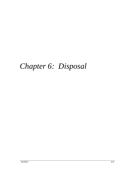# *Chapter 6: Disposal*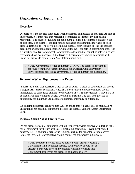#### **Overview**

Disposition is the process that occurs when equipment is in excess or unusable. As part of this process, it is important that research be completed to identify any disposition restrictions. The source of funding for equipment also has a direct impact on how it can be disposed. For example, sponsor funded purchases and donations may have specific disposal restrictions. The key to determining disposal restrictions is to read the sponsor agreement or donation documentation. Contact the OSR for help in determining if there is a restriction on a type of disposal (for example, a donation that cannot be sold). Once any restrictions have been addressed, the Division Representative should coordinate with Property Services to complete an Asset Information Form.

 NOTE: Government-owned equipment CANNOT be disposed of without approval from the Government Contracting Officer. Contact Property Services before processing government-owned equipment for disposition.

## **Determine When Equipment is in Excess**

"Excess" is a term that describes a lack of use or benefit a piece of equipment can give to a project. Any excess equipment, whether Caltech funded or sponsor funded, should immediately be considered eligible for disposition. If it is sponsor funded, it may have to be made available to another award, Division, or Institute. The goal is to provide an opportunity for maximum utilization of equipment internally or externally.

Re-utilizing equipment can save both Caltech and sponsors a great deal of money. If reutilization is not possible, continue to process the disposal using the Asset Information Form.

#### **Disposals Should Not be Thrown Away**

Do not dispose of capital equipment without Property Services approval. Caltech is liable for all equipment for the life of the asset (including hazardous, Government-owned, donated, etc.) If additional sign-off is required, such as for hazardous or radioactive items, the Division Representative should contact the appropriate individuals.

 NOTE: Property Services must be notified when property bearing a Government tag is no longer needed. Such property should not be discarded. Periodic physical inventories will help to ensure that Government property is not disposed of inappropriately.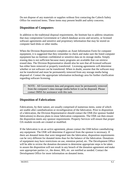Do not dispose of any materials or supplies without first contacting the Caltech Safety Office for restricted items. These items may present health and safety concerns.

## **Disposition of Computers**

In addition to the traditional disposal requirements, the Institute has to address situations that may compromise Government or Caltech database access and security, or licensed software agreements and sensitive and proprietary information that may be stored on computer hard disks or other media.

When the Division Representative completes an Asset Information Form for computer equipment, it is suggested that they remember to check and make sure the listed computer equipment has no Institute confidential or sensitive data on its storage media. Simply erasing data is not sufficient because many programs are available that can retrieve erased data. The Division Representative should also be sure that all licensed software has either been removed or properly transferred. Licensing agreements will determine whether or not software can be transferred. When in doubt, assume that the software may not be transferred and must be permanently removed from any storage media being disposed of. Contact the appropriate information technology area for further clarification regarding software licensing.

 NOTE: All Government data and programs must be permanently removed from the computer's data storage media before it can be disposed. Please contact IMSS for assistance with this task.

## **Disposition of Fabrications**

Fabrications, by their nature, are usually comprised of numerous items, some of which are usable after cannibalization or reconfiguration of the fabrication. Prior to disposition of a fabrication, the Division Representative should contact the OSR (for sponsor funded fabrications) to discuss plans to reuse fabrication components. The OSR can then ensure the disposition meets any sponsor requirements. Property Services will ensure that proper OA module records are created or modified.

If the fabrication is on an active agreement, please contact the OSR before cannibalizing any equipment. The OSR will determine if approval from the sponsor is necessary. If there are donated items that were integrated into the fabrication, disposition requirements can be very different for donated items than for the balance of the fabrication. Donations of equipment may have restrictions on use, retention period, etc. The Development Office will be able to review the donation document to determine appropriate steps to be taken to assure the disposition will not result in any breach of the donation agreement and make sure appropriate parties i.e., the donor, IRS, etc. are notified as needed. Contact the Development Office for more information on donated items.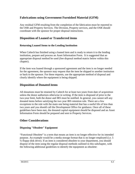#### **Fabrications using Government Furnished Material (GFM)**

Any residual GFM resulting from the completion of the fabrication must be reported to the OSR and Property Services. The Division, Property services, and the OSR should coordinate with the sponsor for proper disposal instructions.

#### **Disposition of Loaned or Transferred items**

#### **Returning Loaned Items to the Lending Institution**

When Caltech has finished using a loaned item and is ready to return it to the lending institution, prepare and process an Asset Information Form. It is suggested that an appropriate disposal method be used (See disposal method matrix below within this chapter).

If the item was loaned through a sponsored agreement and the item is no longer needed for the agreement, the sponsor may request that the item be shipped to another institution or back to the sponsor. For these requests, use the appropriate method of disposal and clearly identify where the equipment is being shipped.

#### **Disposition of Donated items**

All donations must be retained by Caltech for at least two years from date of acquisition unless the donor authorizes otherwise in writing. If the item is disposed of prior to the two-year limit, both the donor and IRS must be notified. In general, you cannot sell any donated items before satisfying the two year IRS retention rule. There are a few exceptions to the rule with the main one being material that has a useful life of less than two years and you should call the Development Office for guidance. Once all of these guidelines have been met, the donated capital equipment should be disposed and an Asset Information Form should be prepared and sent to Property Services.

#### **Other Considerations**

#### **Disposing "Obsolete" Equipment**

"Functional Obsolete" is a term that means an item is no longer effective for its intended purpose. An example would be a media storage format that is no longer employed (i.e. 5 ¼ floppy disk drive). If an item is considered obsolete to your department, you should dispose of the item using the regular disposal methods outlined in this subchapter, with the following additional guidelines to identify the equipment as obsolete: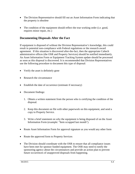- The Division Representative should fill out an Asset Information Form indicating that the property is obsolete
- The condition of the equipment should reflect the true working order (i.e. good, requires minor repair, etc.)

#### **Documenting Disposals After the Fact**

If equipment is disposed of without the Division Representative's knowledge, this could result in potential non-compliance with Federal regulations or the research award agreement. If this situation is discovered after-the-fact, then the appropriate Caltech administrative offices (the OSR and Property Services) should be notified immediately. An Asset Information Form or Equipment Tracking System update should be processed as soon as this disposal is discovered. It is recommended that Division Representatives use the following procedure to document this type of disposal:

- Verify the asset is definitely gone
- Research the circumstance
- Establish the date of occurrence (estimate if necessary)
- Document findings:
	- 1. Obtain a written statement from the person who is certifying the condition of the disposal.
	- 2. Keep this document on file with other paperwork on this equipment, and send a copy to Property Service.
	- 3. Write a brief statement on why the equipment is being disposed of on the Asset Information Form (example: "Item scrapped last month").
- Route Asset Information Form for approval signature as you would any other form
- Route the approved form to Property Services
- The Division should coordinate with the OSR to ensure that all compliance issues have been met for sponsor funded equipment. The OSR may need to notify the sponsoring agency about the circumstances and provide an action plan to prevent future occurrences of unapproved disposals from happening.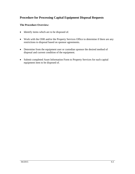### **Procedure for Processing Capital Equipment Disposal Requests**

#### **The Procedure Overview:**

- Identify items which are to be disposed of.
- Work with the OSR and/or the Property Services Office to determine if there are any restrictions to disposal based on sponsor agreements.
- Determine from the equipment user or custodian sponsor the desired method of disposal and current condition of the equipment.
- Submit completed Asset Information Form to Property Services for each capital equipment item to be disposed of.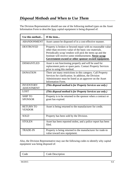The Division Representative should use one of the following method types on the Asset Information Form to describe how capital equipment is being disposed of:

| Use this method                       | If the item                                                                                                                                                                                                                                                                                        |
|---------------------------------------|----------------------------------------------------------------------------------------------------------------------------------------------------------------------------------------------------------------------------------------------------------------------------------------------------|
| <b>ABANDONMENT</b>                    | Asset cannot be disposed of in a cost-effective manner.                                                                                                                                                                                                                                            |
| <b>DESTROYED</b>                      | Property is broken or beyond repair with no reasonable value<br>other than recovery value of the basic raw materials.<br>Periodically scrap vendors will pick the items up and the<br>Institute will receive some reimbursement. Never scrap<br>Government-owned or other sponsor-owned equipment. |
| <b>DISMANTLED</b>                     | Asset is not functioning properly and will be used for<br>replacement parts or spare parts. Contact Property Services<br>prior to using this method.                                                                                                                                               |
| <b>DONATION</b>                       | There are many restrictions in this category. Call Property<br>Services for clarification. In addition, the Division<br>Administrator must be listed as an approver on the Asset<br><b>Information Form.</b>                                                                                       |
| <b>INVENTORY</b><br><b>ADJUSTMENT</b> | (This disposal method is for Property Services use only.)                                                                                                                                                                                                                                          |
| <b>LOST</b>                           | (This disposal method is for Property Services use only.)                                                                                                                                                                                                                                          |
| <b>SHIP TO</b><br><b>SPONSOR</b>      | Property is to be returned to the sponsor when a contract or<br>grant has expired.                                                                                                                                                                                                                 |
| <b>RETURN TO</b><br><b>VENDOR</b>     | Asset is being returned to the manufacturer for credit.                                                                                                                                                                                                                                            |
| <b>SOLD</b>                           | Property has been sold by the Division.                                                                                                                                                                                                                                                            |
| <b>STOLEN</b>                         | Asset has been reported stolen, and a police report has been<br>filed.                                                                                                                                                                                                                             |
| <b>TRADE-IN</b>                       | Property is being returned to the manufacturer for trade-in<br>value toward new equipment.                                                                                                                                                                                                         |

Also, the Division Representative may use the following codes to identify why capital equipment was being disposed of:

| . <b>.</b><br>ode<br>`ode<br>Code Description |
|-----------------------------------------------|
|-----------------------------------------------|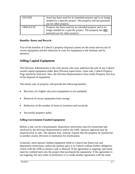| <b>EXCESS</b>   | Asset has been used for its intended purpose and is no longer<br>needed for a specific project. The property still has potential<br>use for other projects. |
|-----------------|-------------------------------------------------------------------------------------------------------------------------------------------------------------|
| <b>OBSOLETE</b> | Property has been used for its intended purpose and is no<br>longer needed for a specific project. The property has NO<br>potential use for other projects. |

#### **Benefits: Reuse and Recycle**

Two of the benefits of Caltech's property disposal system are the reuse and recycle of excess equipment and the reduction of costs for equipment at the Institute and its sponsors.

## **Selling Capital Equipment**

The Division Administrator is the only person who may authorize the sale of any Caltech owned capital equipment under their Division supervision. Upon sale, Caltech Property Tags should be removed. Also, the Division Representative must notify Property Services of the disposal of equipment.

The timely sale of property will provide the following benefits:

- Recovery of a higher sale price (equipment is not outdated)
- Removal of excess equipment from storage
- Reduction of the number of items to inventory and reconcile
- Successful property audits

#### **Selling Government Funded Equipment**

Before a sale can be consummated, disposition restrictions must be researched and resolved by the Division Representative and/or the OSR. Sponsor approval may be required prior to sale. The sponsor may, instead, request that the property be transferred to another award, Division or institution for reutilization.

Generally, most sponsor funded equipment titled to Caltech has future use and disposition restrictions, unless the sponsor gave it to Caltech without further obligation. Check with the OSR to ensure a sale is allowed. If the agreement is ongoing, sale funds must be credited back into the project that purchased the equipment. If the agreement is not ongoing, the next order of preference is to credit another agreement with the same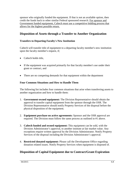sponsor who originally funded the equipment. If that is not an available option, then credit the funds back to other similar Federal sponsored research. For sponsor and Government funded equipment, Caltech must use a competitive bidding process that allows for the highest possible return.

#### **Disposition of Assets through a Transfer to Another Organization**

#### **Transfers to Departing Faculty's New Institution**

Caltech will transfer title of equipment to a departing faculty member's new institution upon the faculty member's request, if;

- Caltech holds title.
- If the equipment was acquired primarily for that faculty member's use under their grant or contract, and
- There are no competing demands for that equipment within the department

#### **Four Common Situations and How to Handle Them**

The following list includes four common situations that arise when transferring assets to another organization and how to handle them:

- 1. **Government-owned equipment:** The Division Representative should obtain the approval to transfer capital equipment from the sponsor through the OSR. The Division Representative should notify Property Services of the disposal before the physical disposition of the equipment.
- 2. **Equipment purchase on active agreements:** Sponsor and the OSR approval are required. The Division must follow the same process as outlined in #1 above.
- 3. **Caltech funded and owned equipment:** This equipment can be sold, with the Division Administrator's approval, to another institute at fair market value. Any exceptions require written approval by the Division Administrator. Notify Property Services of the disposal including the Division Administrator's approval.
- 4. **Restricted donated equipment:** Please call the Development Office regarding donation related issues. Notify Property Services when equipment is disposed of.

#### **Disposition of Capital Equipment due to Contract/Grant Expiration**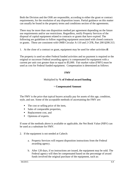Both the Division and the OSR are responsible, according to either the grant or contract requirements, for the resolution of any disposition issues. Partial guidance on this matter can usually be found in the property terms and conditions section of the agreements.

There may be more than one disposition method per agreement depending on the future use requirements and/or use restrictions. Regardless, notify Property Services of the disposal of capital equipment related to contracts or grants that have expired. The following are guidelines to follow regarding equipment associated with closed contracts or grants. These are consistent with OMB Circular A-110 and 2 CFR, Part 200 §200.313.

1. At the close of a contract or grant, equipment may be used for other activities **if**:

The property is used on other Federal funded activities and no payment is required or the original or successor Federal awarding agency is compensated for equipment with a current per unit cost greater than or equal to \$5,000. Fair market value (FMV) must be used as cost for Federal funded equipment. Compensation is determined as follows:

#### **FMV**

#### Multiplied by **% of Federal award funding**

#### = **Compensated Amount**

The FMV is the price that typical buyers actually pay for assets of this age, condition, style, and use. Some of the acceptable methods of ascertaining the FMV are:

- The cost or selling price of the item,
- Sales of comparable properties,
- Replacement cost, and
- Opinions of experts.

If none of the methods above is available or applicable, the Net Book Value (NBV) can be used as a substitute for FMV.

- 2. If the equipment is not needed at Caltech:
	- a. Property Services will request disposition instructions from the Federal awarding agency.
	- b. After 120 days, if no instructions are issued, the equipment may be sold. The Federal agency will then be compensated based on the percentage of award funds involved the original purchase of the equipment, such as: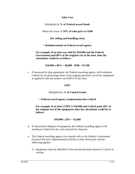#### **Sales Cost**

Multiplied by **% of Federal award funds**

Minus the lower of **10% of sales price or \$500**

**(for selling and handling costs)**

**= Reimbursement to Federal award agency**

**For example, if an item was sold for \$10,000 and the Federal Government paid 80% of the original cost of the item, then the calculation would be as follows:**

**\$10,000 x 80% = \$8,000 - \$500 = \$7,500**

c. If instructed to ship equipment, the Federal awarding agency will reimburse Caltech for its percentage share in the original purchase cost of the equipment as applied to the fair market cost (FMV) of the item.

#### **FMV**

#### Multiplied by **% of Caltech Funds**

= **Federal award agency compensation due Caltech**

**For example, if an item's FMV is \$10,000 and Caltech paid 20% of the original cost of the equipment, then the calculation would be as follows:**

#### **\$10,000 x 20% = \$2,000**

- d. If instructed to dispose of equipment, the Federal awarding agency will reimburse Caltech for the costs incurred for disposal.
- e. The Federal awarding agency can transfer title to the Federal Government (General Services Administration (GSA)) or other third party and the following applies:
	- 1) Equipment must be identified in the award and made known to Caltech in writing.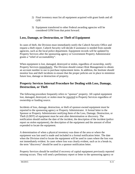- 2) Final inventory must list all equipment acquired with grant funds and all GFP.
- 3) Equipment transferred to other Federal awarding agencies will be considered GFM from that point forward.

#### **Loss, Damage, or Destruction, or Theft of Equipment**

In cases of theft, the Division must immediately notify the Caltech Security Office and request a theft report. Caltech Security will decide if assistance is needed from outside agencies, such as the local police department. Equipment records will be updated by Property Services after the sponsoring agency or Government Property Administrator grants a "relief of accountability".

When equipment is lost, damaged, destroyed or stolen, regardless of ownership, notify Property Services immediately. The Division should contact Risk Management to obtain an account number to use to purchase replacement items. In addition, the Institute should monitor loss and theft incidents to ensure that the proper policies are in place to minimize future loss, damage or destruction of property.

### **Property Services Internal Procedure for Dealing with Loss, Damage, Destruction, or Theft**

The following procedure frequently refers to "sponsor" property. All capital equipment lost, damaged, destroyed, or stolen must be reported to Property Services regardless of ownership or funding source.

Incidents of loss, damage, destruction, or theft of sponsor-owned equipment must be reported to the sponsoring agency or Property Administrator. A formal letter to the Sponsor or Property Administrator notifying them of the Loss, Damage, Destruction, or Theft (LDDT) of equipment must be sent after determination or discovery. The notification should outline the date of the incident, the description of the incident (police report on stolen equipment), the description of the equipment and the amount of effort expended to locate the equipment.

A determination of when a physical inventory was done of the area or where the equipment was last used is made and included in a formal notification letter. The date when the Division tried to locate the equipment will be used in cases where the loss was not immediately evident. In cases where loss was clearly evident, such as in a break-in, the term "discovery" should be used in a sponsor notification letter.

Property Services should be notified if recovery of capital equipment previously reported missing occurs. They will send a preliminary report or letter to the sponsoring agency or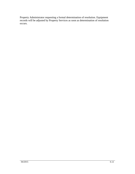Property Administrator requesting a formal determination of resolution. Equipment records will be adjusted by Property Services as soon as determination of resolution occurs.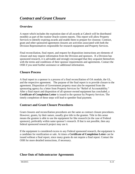### **Overview**

A report which includes the expiration date of all awards at Caltech will be distributed monthly as part of the routine Oracle system reports. This report will allow Property Services to identify expiring awards and enable them to prepare for closeout. Contract, grant and other sponsored agreement closures are activities associated with both the Division Representatives responsible for research equipment and Property Services.

Final reconciliation, final report, and request for disposition instructions are elements of closure and may require information from the Division and sponsors. If a Division has sponsored research, it is advisable and strongly encouraged that they acquaint themselves with the terms and conditions of their sponsor requirements and agreements. Contact the OSR if you need further assistance or additional information.

## **Closure Process**

A final report to a sponsor is a process of a final reconciliation of OA module, the GL, and the respective agreement. The purpose of the final report is to provide closure to the agreement. Disposition of Government property must also be requested from the sponsoring agency by a letter from Property Services for "Relief of Accountability." After a final report and disposition of all sponsor-owned equipment has concluded, a **Certificate of Completion Letter** is issued to the sponsor by Property Services. The timely completion of these steps will lead to speedier final payment.

## **Contract and Grant Closure Procedures**

Grant closures and reconciliation procedures are the same as contract closure procedures. However, grants, by their nature, usually give title to the grantee. Title in this sense means the grantee is able to use the equipment for like research (in the case of Federal sponsors), preferably within same sponsor's research. If that is not possible, then any federal sponsored research project may use it.

If the equipment is considered excess to any Federal sponsored research, the equipment is a candidate for reutilization or sale. At times a **Certificate of Completion Letter** can be issued without a final report, since many grants do not require a final report. Contact the OSR for more detailed instructions, if necessary.

## **Close Outs of Subcontractor Agreements**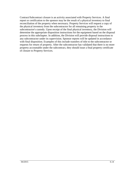Contract/Subcontract closure is an activity associated with Property Services. A final report or certification to the sponsor may be the result of a physical inventory to final reconciliation of the property when necessary. Property Services will request a copy of the physical inventory from the subcontractor for all remaining property in the subcontractor's custody. Upon receipt of the final physical inventory, the Division will determine the appropriate disposition instructions for the equipment based on the disposal process in this subchapter. In addition, the Division will provide disposal instructions to any subcontractor under its supervision. Sponsor reports will be updated in accordance with final disposition. Examples of this include transfers of title to the subcontractor or requests for return of property. After the subcontractor has validated that there is no more property accountable under the subcontract, they should issue a final property certificate of closure to Property Services.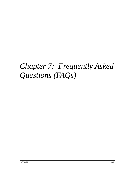# *Chapter 7: Frequently Asked Questions (FAQs)*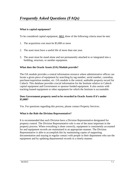# *Frequently Asked Questions (FAQs)*

#### **What is capital equipment?**

To be considered capital equipment, **ALL** three of the following criteria must be met:

- 1. The acquisition cost must be \$5,000 or more
- 2. The asset must have a useful life of more than one year.
- 3. The asset must be stand alone and not permanently attached to or integrated into a building, structure, or another equipment.

#### **What does the Oracle Assets (OA) Module provide?**

The OA module provides a central information resource where administrative offices can locate a given piece of equipment by searching by tag number, serial number, custodian, purchase/requisition number, etc. OA module is the central, auditable property record for Caltech. This database provides crucial information for the Institute relative to Caltech capital equipment and Government or sponsor funded equipment. It also assists with tracking loaned equipment or other equipment for which the Institute is accountable.

#### **Does Government property need to be recorded in Oracle Assets if it's under \$5,000?**

Yes. For questions regarding this process, please contact Property Services.

#### **What is the Role the Division Representative?**

It is recommended that each Division have a Division Representative designated for property control. The Division Representative role is one of the most important in the property process. When everything is done correctly, equipment is consistently accounted for and equipment records are maintained in an appropriate manner. The Division Representative is able to accomplish this by maintaining copies of supporting documentation and staying in regular contact with people in their department who use the equipment and by updating departmental records in a timely manner.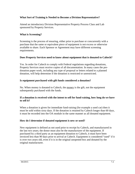#### **What Sort of Training is Needed to Become a Division Representative?**

Attend an introductory Division Representative Property Process Class and Lab sponsored by Property Services.

#### **What is Screening?**

Screening is the process of ensuring, either prior to purchase or concurrently with a purchase that the same or equivalent piece of equipment is not excess or otherwise available to share. Each Sponsor or Agreement may have different screening requirements.

#### **Does Property Services need to know about equipment that is donated to Caltech?**

Yes. In order for Caltech to comply with Federal regulations regarding donations, Property Services must receive copies of all documentation. In many cases the predonation paper work, including any type of proposal or letters related to a planned donation, will help determine if the donation is restricted or unrestricted.

#### **Is equipment purchased with gift funds considered a donation?**

No. When money is donated to Caltech, the money is the gift, not the equipment subsequently purchased with the funds.

#### **If a donation is received with the intent to sell for fund-raising, how long do we have to sell it?**

When a donation is given for immediate fund-raising (for example a used car) then it must be sold within sixty days. If the donation is retained by Caltech longer than 60 days, it must be recorded into the OA module in the same manner as all donated equipment.

#### **How do I determine if donated equipment is new or used?**

New equipment is defined as not used prior to receipt by Caltech, and manufactured in the last two years; the donor must also be the manufacturer of the equipment. If purchased by a third party as an equipment donation to Caltech, it must have been invoiced less than 90 days prior to arrival at Caltech. Equipment is considered "used" if it is over two years old, even if it is in the original unopened box and donated by the original manufacturer.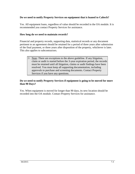#### **Do we need to notify Property Services on equipment that is loaned to Caltech?**

Yes. All equipment loans, regardless of value should be recorded in the OA module. It is recommended you contact Property Services for assistance.

#### **How long do we need to maintain records?**

Financial and property records, supporting data, statistical records or any document pertinent to an agreement should be retained for a period of three years after submission of the final payment, or three years after disposition of the property, whichever is later. This also applies to subcontractors.

 $\upbeta$  Note: There are exceptions to the above guideline. If any litigation, claim or audit is started before the 3-year expiration period, the records must be retained until all litigation, claims or audit findings have been resolved. You must keep all supporting documentation, including approvals to purchase and screening documents. Contact Property Services if you have any questions.

#### **Do we need to notify Property Services if equipment is going to be moved for more than 90 Days?**

Yes. When equipment is moved for longer than 90 days, its new location should be recorded into the OA module. Contact Property Services for assistance.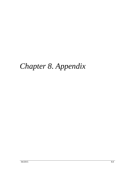# *Chapter 8. Appendix*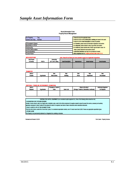## *Sample Asset Information Form*

#### **Asset Information Form Property Record Management**

| <b>For Property</b><br>Tag<br><b>Control Use Only:</b><br>Number | 1. Please fill out all the applicable boxes.<br>2. Please fill out the current site/location, building and room for the asset.<br>3. Please fill out the Asset Description as clearly as possible. |
|------------------------------------------------------------------|----------------------------------------------------------------------------------------------------------------------------------------------------------------------------------------------------|
| <b>PI/Caretaker's Name:</b>                                      | 4. For transfers, please record all information requested in that section.                                                                                                                         |
| Requisition or PO#:                                              | 5. For disposals, please indicate to date, tag number and location.                                                                                                                                |
| <b>Prepared By:</b>                                              | 6. For trade-ins, please indicate date of trade, tag and trade-in value. For                                                                                                                       |
| <b>Current Site/Location:</b>                                    | others, please indicate the sale.auction amount.                                                                                                                                                   |
| <b>Current Building:</b>                                         | 7. Authorized Individual must sign for any disposal of assets.                                                                                                                                     |
| <b>Current Room:</b>                                             | 8. Mail completed form to: Property Services, Mail Code 211-15.                                                                                                                                    |

#### **NEW ADDITIONS**

#### Note: Please fill out these four boxes (shaded in gray) for all applicable transactions.

| Date Placed |              | Ownership           |                          |                     |                     |                      |
|-------------|--------------|---------------------|--------------------------|---------------------|---------------------|----------------------|
| In Service  | <b>POETA</b> | (CIT, Gov't, Other) | <b>Asset Description</b> | <b>Manufacturer</b> | <b>Model Number</b> | <b>Serial Number</b> |
|             |              |                     |                          |                     |                     |                      |
|             |              |                     |                          |                     |                     |                      |
|             |              |                     |                          |                     |                     |                      |

#### **TRANSFER**

| ------------<br>Date of |                   | <b>Now</b>           | New      | <b>New</b>  | New               | Now                 |
|-------------------------|-------------------|----------------------|----------|-------------|-------------------|---------------------|
| <b>Transfer</b>         | <b>Tag Number</b> | <b>Site/Location</b> | Building | <b>Room</b> | <b>Department</b> | <b>PI/Caretaker</b> |
|                         |                   |                      |          |             |                   |                     |
|                         |                   |                      |          |             |                   |                     |
|                         |                   |                      |          |             |                   |                     |
|                         |                   |                      |          |             |                   |                     |

#### DISPOSAL / TRADE-IN / RETIREMENT / DONATION

| Date of         |                   | <b>Proceeds or Trade-In</b> |                   | Where is the Item?                          | <b>Authorized Signature</b> |
|-----------------|-------------------|-----------------------------|-------------------|---------------------------------------------|-----------------------------|
| <b>Disposal</b> | <b>Tag Number</b> | Value                       | <b>Sales Cost</b> | (Storage, Traded-In, Dismantied, Auctioned) | for Disposal                |
|                 |                   |                             |                   |                                             |                             |
|                 |                   |                             |                   |                                             |                             |
|                 |                   |                             |                   |                                             |                             |

#### CRITERIA FOR CAPITAL EQUIPMENT (to be considered capital equipment ALL three of the following criteria should be met)

>>ACQUISITION COST OF \$5,000 OR MORE

Includes: Invoice amount, sales, tax, freight costs, installation costs, costs for the Initial complement of supplies needed to place the asset into service, accessory and auxiliary apparatus necessary to make it usable for the purpose for which it is acquired; less trade or trade-in discounts and/or educational discounts.

>>HAVE A USEFUL LIFE OF TWO OR MORE YEARS

If the Item will not have a useful life of more than 2 years, it is considered expendable material, even if it costs maore than \$5,000. Please use appropriate expenditure types. **>STAND ALONE** 

The Property is not permanently attached to or integrated into a building or structure.

Reviewed and Revised: 01/2015

Form Owner: Property Services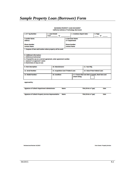# *Sample Property Loan (Borrower) Form*

#### **INCOMING PROPERTY LOAN DOCUMENT California Institute of Technology (Borrower)**

| 2. Loan Period:<br>1. CIT Tag Number:                                |                     |                                                                         | 3. Inventory Report Date: | 4. Page:              |               |                                                                                                                                                                                                                                     |  |
|----------------------------------------------------------------------|---------------------|-------------------------------------------------------------------------|---------------------------|-----------------------|---------------|-------------------------------------------------------------------------------------------------------------------------------------------------------------------------------------------------------------------------------------|--|
|                                                                      | <b>From Company</b> | to                                                                      |                           |                       |               | <b>of</b> the state of the state of the state of the state of the state of the state of the state of the state of the state of the state of the state of the state of the state of the state of the state of the state of the state |  |
| <b>5 Lender Name:</b>                                                |                     |                                                                         |                           | 6. Borrower Name:     |               |                                                                                                                                                                                                                                     |  |
| <b>Address</b>                                                       |                     |                                                                         |                           | <b>CIT Department</b> |               |                                                                                                                                                                                                                                     |  |
| <b>Phone Number</b>                                                  |                     |                                                                         | <b>Phone Number</b>       |                       |               |                                                                                                                                                                                                                                     |  |
| <b>Contact Name</b>                                                  |                     |                                                                         | <b>Contact Name</b>       |                       |               |                                                                                                                                                                                                                                     |  |
| 7. Purpose of loan and location where property will be used:         |                     |                                                                         |                           |                       |               |                                                                                                                                                                                                                                     |  |
|                                                                      |                     |                                                                         |                           |                       |               |                                                                                                                                                                                                                                     |  |
| 8. Additional Information:                                           |                     |                                                                         |                           |                       |               |                                                                                                                                                                                                                                     |  |
| a. Reference/contractual:                                            |                     |                                                                         |                           |                       |               |                                                                                                                                                                                                                                     |  |
| b. If loaned for use on a current agreement, enter agreement number. |                     |                                                                         |                           |                       |               |                                                                                                                                                                                                                                     |  |
| c. Sponsor's or approver's name:                                     |                     |                                                                         |                           |                       |               |                                                                                                                                                                                                                                     |  |
| d. Restrictions (if any) on use:                                     |                     |                                                                         |                           |                       |               |                                                                                                                                                                                                                                     |  |
| 9. Item Description:                                                 |                     | 10. Manufacturer:                                                       |                           |                       | 11. Year Mfg. |                                                                                                                                                                                                                                     |  |
| 12. Serial Number:                                                   |                     | 14. Value if Non Federal Loan:<br>13. Acquisition Cost if Federal Loan: |                           |                       |               |                                                                                                                                                                                                                                     |  |
| 15. Model Number:                                                    | 16. Condition       |                                                                         |                           | attach listing:       |               | 17. If more than one item is loaned, check here and                                                                                                                                                                                 |  |

**Approved by:** 

| Signature of Caltech Department Administrator                | <b>Name</b> | <b>Title (Print or Type)</b> | Date |
|--------------------------------------------------------------|-------------|------------------------------|------|
| <b>Signature of Caltech Property Services Representative</b> | <b>Name</b> | <b>Title (Print or Type)</b> | Date |

Reviewed and Revised: 01/2015

Form Owner: Property Services